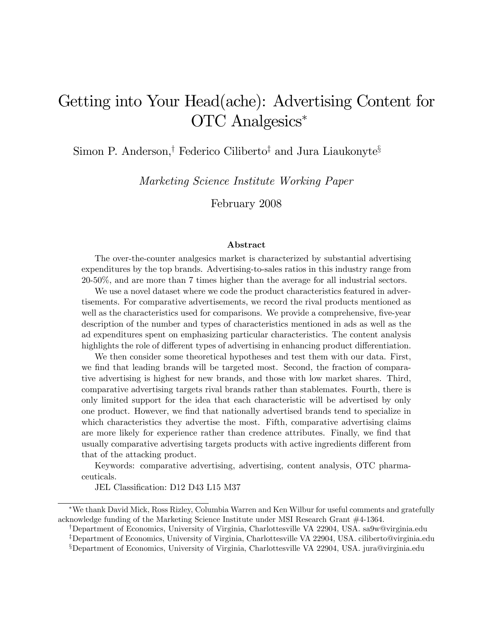# Getting into Your Head(ache): Advertising Content for OTC Analgesics

Simon P. Anderson,<sup>†</sup> Federico Ciliberto<sup>‡</sup> and Jura Liaukonyte<sup>§</sup>

Marketing Science Institute Working Paper

February 2008

#### Abstract

The over-the-counter analgesics market is characterized by substantial advertising expenditures by the top brands. Advertising-to-sales ratios in this industry range from 20-50%, and are more than 7 times higher than the average for all industrial sectors.

We use a novel dataset where we code the product characteristics featured in advertisements. For comparative advertisements, we record the rival products mentioned as well as the characteristics used for comparisons. We provide a comprehensive, five-year description of the number and types of characteristics mentioned in ads as well as the ad expenditures spent on emphasizing particular characteristics. The content analysis highlights the role of different types of advertising in enhancing product differentiation.

We then consider some theoretical hypotheses and test them with our data. First, we find that leading brands will be targeted most. Second, the fraction of comparative advertising is highest for new brands, and those with low market shares. Third, comparative advertising targets rival brands rather than stablemates. Fourth, there is only limited support for the idea that each characteristic will be advertised by only one product. However, we Önd that nationally advertised brands tend to specialize in which characteristics they advertise the most. Fifth, comparative advertising claims are more likely for experience rather than credence attributes. Finally, we find that usually comparative advertising targets products with active ingredients different from that of the attacking product.

Keywords: comparative advertising, advertising, content analysis, OTC pharmaceuticals.

JEL Classification: D12 D43 L15 M37

We thank David Mick, Ross Rizley, Columbia Warren and Ken Wilbur for useful comments and gratefully acknowledge funding of the Marketing Science Institute under MSI Research Grant #4-1364.

<sup>y</sup>Department of Economics, University of Virginia, Charlottesville VA 22904, USA. sa9w@virginia.edu <sup>‡</sup>Department of Economics, University of Virginia, Charlottesville VA 22904, USA. ciliberto@virginia.edu xDepartment of Economics, University of Virginia, Charlottesville VA 22904, USA. jura@virginia.edu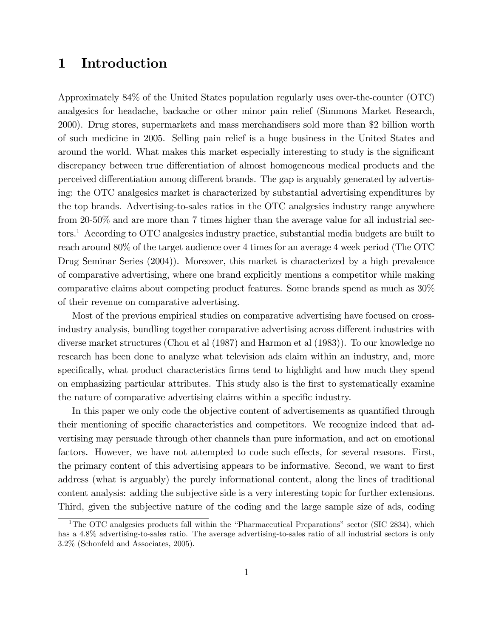# 1 Introduction

Approximately 84% of the United States population regularly uses over-the-counter (OTC) analgesics for headache, backache or other minor pain relief (Simmons Market Research, 2000). Drug stores, supermarkets and mass merchandisers sold more than \$2 billion worth of such medicine in 2005. Selling pain relief is a huge business in the United States and around the world. What makes this market especially interesting to study is the significant discrepancy between true differentiation of almost homogeneous medical products and the perceived differentiation among different brands. The gap is arguably generated by advertising: the OTC analgesics market is characterized by substantial advertising expenditures by the top brands. Advertising-to-sales ratios in the OTC analgesics industry range anywhere from 20-50% and are more than 7 times higher than the average value for all industrial sectors.<sup>1</sup> According to OTC analgesics industry practice, substantial media budgets are built to reach around 80% of the target audience over 4 times for an average 4 week period (The OTC Drug Seminar Series (2004)). Moreover, this market is characterized by a high prevalence of comparative advertising, where one brand explicitly mentions a competitor while making comparative claims about competing product features. Some brands spend as much as 30% of their revenue on comparative advertising.

Most of the previous empirical studies on comparative advertising have focused on crossindustry analysis, bundling together comparative advertising across different industries with diverse market structures (Chou et al (1987) and Harmon et al (1983)). To our knowledge no research has been done to analyze what television ads claim within an industry, and, more specifically, what product characteristics firms tend to highlight and how much they spend on emphasizing particular attributes. This study also is the first to systematically examine the nature of comparative advertising claims within a specific industry.

In this paper we only code the objective content of advertisements as quantified through their mentioning of specific characteristics and competitors. We recognize indeed that advertising may persuade through other channels than pure information, and act on emotional factors. However, we have not attempted to code such effects, for several reasons. First, the primary content of this advertising appears to be informative. Second, we want to first address (what is arguably) the purely informational content, along the lines of traditional content analysis: adding the subjective side is a very interesting topic for further extensions. Third, given the subjective nature of the coding and the large sample size of ads, coding

<sup>&</sup>lt;sup>1</sup>The OTC analgesics products fall within the "Pharmaceutical Preparations" sector (SIC 2834), which has a 4.8% advertising-to-sales ratio. The average advertising-to-sales ratio of all industrial sectors is only 3.2% (Schonfeld and Associates, 2005).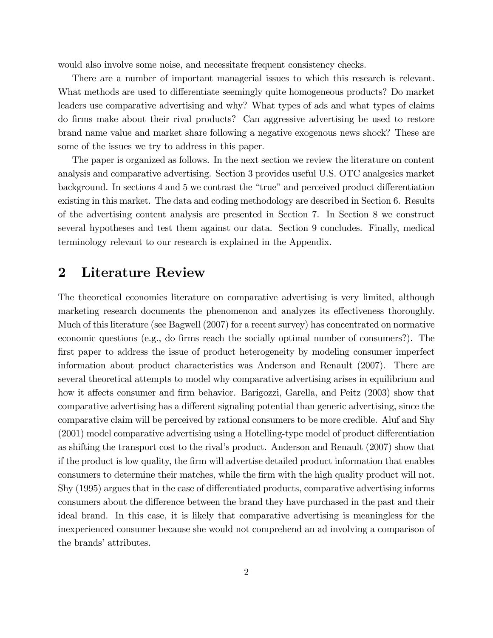would also involve some noise, and necessitate frequent consistency checks.

There are a number of important managerial issues to which this research is relevant. What methods are used to differentiate seemingly quite homogeneous products? Do market leaders use comparative advertising and why? What types of ads and what types of claims do Örms make about their rival products? Can aggressive advertising be used to restore brand name value and market share following a negative exogenous news shock? These are some of the issues we try to address in this paper.

The paper is organized as follows. In the next section we review the literature on content analysis and comparative advertising. Section 3 provides useful U.S. OTC analgesics market background. In sections 4 and 5 we contrast the "true" and perceived product differentiation existing in this market. The data and coding methodology are described in Section 6. Results of the advertising content analysis are presented in Section 7. In Section 8 we construct several hypotheses and test them against our data. Section 9 concludes. Finally, medical terminology relevant to our research is explained in the Appendix.

### 2 Literature Review

The theoretical economics literature on comparative advertising is very limited, although marketing research documents the phenomenon and analyzes its effectiveness thoroughly. Much of this literature (see Bagwell (2007) for a recent survey) has concentrated on normative economic questions (e.g., do firms reach the socially optimal number of consumers?). The first paper to address the issue of product heterogeneity by modeling consumer imperfect information about product characteristics was Anderson and Renault (2007). There are several theoretical attempts to model why comparative advertising arises in equilibrium and how it affects consumer and firm behavior. Barigozzi, Garella, and Peitz (2003) show that comparative advertising has a different signaling potential than generic advertising, since the comparative claim will be perceived by rational consumers to be more credible. Aluf and Shy  $(2001)$  model comparative advertising using a Hotelling-type model of product differentiation as shifting the transport cost to the rival's product. Anderson and Renault (2007) show that if the product is low quality, the Örm will advertise detailed product information that enables consumers to determine their matches, while the firm with the high quality product will not. Shy (1995) argues that in the case of differentiated products, comparative advertising informs consumers about the difference between the brand they have purchased in the past and their ideal brand. In this case, it is likely that comparative advertising is meaningless for the inexperienced consumer because she would not comprehend an ad involving a comparison of the brands' attributes.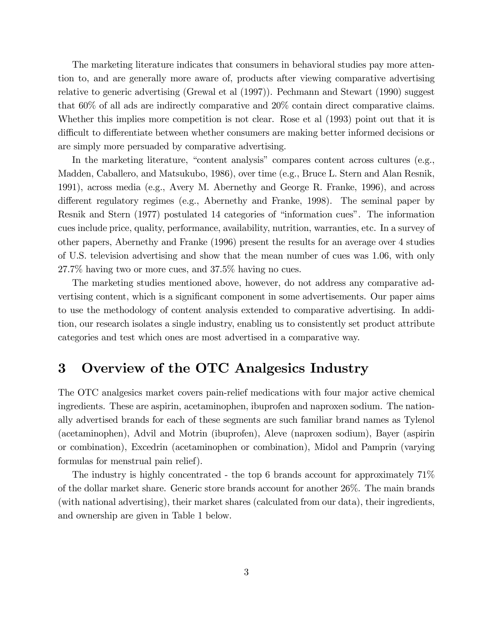The marketing literature indicates that consumers in behavioral studies pay more attention to, and are generally more aware of, products after viewing comparative advertising relative to generic advertising (Grewal et al (1997)). Pechmann and Stewart (1990) suggest that 60% of all ads are indirectly comparative and 20% contain direct comparative claims. Whether this implies more competition is not clear. Rose et al (1993) point out that it is difficult to differentiate between whether consumers are making better informed decisions or are simply more persuaded by comparative advertising.

In the marketing literature, "content analysis" compares content across cultures (e.g., Madden, Caballero, and Matsukubo, 1986), over time (e.g., Bruce L. Stern and Alan Resnik, 1991), across media (e.g., Avery M. Abernethy and George R. Franke, 1996), and across different regulatory regimes (e.g., Abernethy and Franke, 1998). The seminal paper by Resnik and Stern (1977) postulated 14 categories of "information cues". The information cues include price, quality, performance, availability, nutrition, warranties, etc. In a survey of other papers, Abernethy and Franke (1996) present the results for an average over 4 studies of U.S. television advertising and show that the mean number of cues was 1.06, with only 27.7% having two or more cues, and 37.5% having no cues.

The marketing studies mentioned above, however, do not address any comparative advertising content, which is a significant component in some advertisements. Our paper aims to use the methodology of content analysis extended to comparative advertising. In addition, our research isolates a single industry, enabling us to consistently set product attribute categories and test which ones are most advertised in a comparative way.

# 3 Overview of the OTC Analgesics Industry

The OTC analgesics market covers pain-relief medications with four major active chemical ingredients. These are aspirin, acetaminophen, ibuprofen and naproxen sodium. The nationally advertised brands for each of these segments are such familiar brand names as Tylenol (acetaminophen), Advil and Motrin (ibuprofen), Aleve (naproxen sodium), Bayer (aspirin or combination), Excedrin (acetaminophen or combination), Midol and Pamprin (varying formulas for menstrual pain relief).

The industry is highly concentrated - the top 6 brands account for approximately 71% of the dollar market share. Generic store brands account for another 26%. The main brands (with national advertising), their market shares (calculated from our data), their ingredients, and ownership are given in Table 1 below.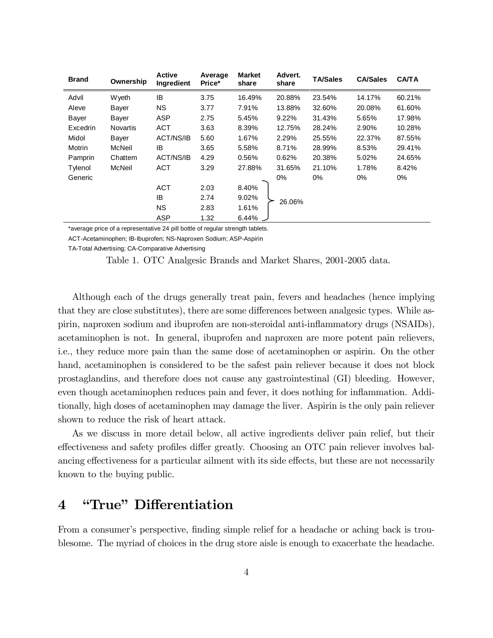| <b>Brand</b> | Ownership | <b>Active</b><br>Ingredient | Average<br>Price* | <b>Market</b><br>share | Advert.<br>share | <b>TA/Sales</b> | <b>CA/Sales</b> | <b>CA/TA</b> |
|--------------|-----------|-----------------------------|-------------------|------------------------|------------------|-----------------|-----------------|--------------|
| Advil        | Wyeth     | IB                          | 3.75              | 16.49%                 | 20.88%           | 23.54%          | 14.17%          | 60.21%       |
| Aleve        | Bayer     | <b>NS</b>                   | 3.77              | 7.91%                  | 13.88%           | 32.60%          | 20.08%          | 61.60%       |
| <b>Bayer</b> | Bayer     | <b>ASP</b>                  | 2.75              | 5.45%                  | 9.22%            | 31.43%          | 5.65%           | 17.98%       |
| Excedrin     | Novartis  | <b>ACT</b>                  | 3.63              | 8.39%                  | 12.75%           | 28.24%          | 2.90%           | 10.28%       |
| Midol        | Bayer     | ACT/NS/IB                   | 5.60              | 1.67%                  | 2.29%            | 25.55%          | 22.37%          | 87.55%       |
| Motrin       | McNeil    | IB                          | 3.65              | 5.58%                  | 8.71%            | 28.99%          | 8.53%           | 29.41%       |
| Pamprin      | Chattem   | ACT/NS/IB                   | 4.29              | 0.56%                  | 0.62%            | 20.38%          | 5.02%           | 24.65%       |
| Tylenol      | McNeil    | ACT                         | 3.29              | 27.88%                 | 31.65%           | 21.10%          | 1.78%           | 8.42%        |
| Generic      |           |                             |                   |                        | 0%               | $0\%$           | 0%              | 0%           |
|              |           | <b>ACT</b>                  | 2.03              | 8.40%                  |                  |                 |                 |              |
|              |           | IB                          | 2.74              | 9.02%                  | 26.06%           |                 |                 |              |
|              |           | <b>NS</b>                   | 2.83              | 1.61%                  |                  |                 |                 |              |
|              |           | <b>ASP</b>                  | 1.32              | 6.44%                  |                  |                 |                 |              |

\*average price of a representative 24 pill bottle of regular strength tablets.

ACT-Acetaminophen; IB-Ibuprofen; NS-Naproxen Sodium; ASP-Aspirin

TA-Total Advertising; CA-Comparative Advertising

Table 1. OTC Analgesic Brands and Market Shares, 2001-2005 data.

Although each of the drugs generally treat pain, fevers and headaches (hence implying that they are close substitutes), there are some differences between analgesic types. While aspirin, naproxen sodium and ibuprofen are non-steroidal anti-ináammatory drugs (NSAIDs), acetaminophen is not. In general, ibuprofen and naproxen are more potent pain relievers, i.e., they reduce more pain than the same dose of acetaminophen or aspirin. On the other hand, acetaminophen is considered to be the safest pain reliever because it does not block prostaglandins, and therefore does not cause any gastrointestinal (GI) bleeding. However, even though acetaminophen reduces pain and fever, it does nothing for inflammation. Additionally, high doses of acetaminophen may damage the liver. Aspirin is the only pain reliever shown to reduce the risk of heart attack.

As we discuss in more detail below, all active ingredients deliver pain relief, but their effectiveness and safety profiles differ greatly. Choosing an OTC pain reliever involves balancing effectiveness for a particular ailment with its side effects, but these are not necessarily known to the buying public.

# 4 *'True*" Differentiation

From a consumer's perspective, finding simple relief for a headache or aching back is troublesome. The myriad of choices in the drug store aisle is enough to exacerbate the headache.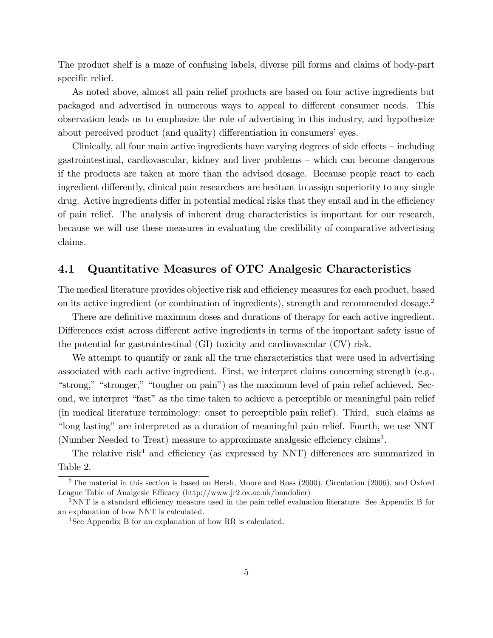The product shelf is a maze of confusing labels, diverse pill forms and claims of body-part specific relief.

As noted above, almost all pain relief products are based on four active ingredients but packaged and advertised in numerous ways to appeal to different consumer needs. This observation leads us to emphasize the role of advertising in this industry, and hypothesize about perceived product (and quality) differentiation in consumers' eyes.

Clinically, all four main active ingredients have varying degrees of side effects  $-\text{including}$  $g$ astrointestinal, cardiovascular, kidney and liver problems  $-\text{ which can become dangerous}$ if the products are taken at more than the advised dosage. Because people react to each ingredient differently, clinical pain researchers are hesitant to assign superiority to any single drug. Active ingredients differ in potential medical risks that they entail and in the efficiency of pain relief. The analysis of inherent drug characteristics is important for our research, because we will use these measures in evaluating the credibility of comparative advertising claims.

#### 4.1 Quantitative Measures of OTC Analgesic Characteristics

The medical literature provides objective risk and efficiency measures for each product, based on its active ingredient (or combination of ingredients), strength and recommended dosage.<sup>2</sup>

There are definitive maximum doses and durations of therapy for each active ingredient. Differences exist across different active ingredients in terms of the important safety issue of the potential for gastrointestinal (GI) toxicity and cardiovascular (CV) risk.

We attempt to quantify or rank all the true characteristics that were used in advertising associated with each active ingredient. First, we interpret claims concerning strength (e.g., "strong," "stronger," "tougher on pain") as the maximum level of pain relief achieved. Second, we interpret "fast" as the time taken to achieve a perceptible or meaningful pain relief (in medical literature terminology: onset to perceptible pain relief). Third, such claims as ìlong lastingî are interpreted as a duration of meaningful pain relief. Fourth, we use NNT (Number Needed to Treat) measure to approximate analgesic efficiency claims<sup>3</sup>.

The relative risk<sup>4</sup> and efficiency (as expressed by NNT) differences are summarized in Table 2.

<sup>2</sup>The material in this section is based on Hersh, Moore and Ross (2000), Circulation (2006), and Oxford League Table of Analgesic Efficacy (http://www.jr2.ox.ac.uk/bandolier)

 $3$ NNT is a standard efficiency measure used in the pain relief evaluation literature. See Appendix B for an explanation of how NNT is calculated.

<sup>&</sup>lt;sup>4</sup>See Appendix B for an explanation of how RR is calculated.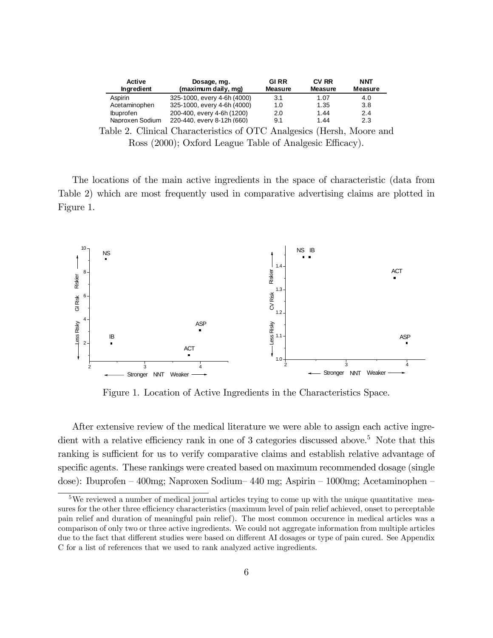| <b>Active</b><br>Ingredient | Dosage, mg.<br>(maximum daily, mg) | <b>GIRR</b><br><b>Measure</b> | <b>CV RR</b><br><b>Measure</b> | <b>NNT</b><br><b>Measure</b> |
|-----------------------------|------------------------------------|-------------------------------|--------------------------------|------------------------------|
| Aspirin                     | 325-1000, every 4-6h (4000)        | 3.1                           | 1.07                           | 4.0                          |
| Acetaminophen               | 325-1000, every 4-6h (4000)        | 1.0                           | 1.35                           | 3.8                          |
| <b>Ibuprofen</b>            | 200-400, every 4-6h (1200)         | 2.0                           | 1.44                           | 2.4                          |
| Naproxen Sodium             | 220-440, every 8-12h (660)         | 9.1                           | 1.44                           | 2.3                          |

Table 2. Clinical Characteristics of OTC Analgesics (Hersh, Moore and Ross (2000); Oxford League Table of Analgesic Efficacy).

The locations of the main active ingredients in the space of characteristic (data from Table 2) which are most frequently used in comparative advertising claims are plotted in Figure 1.



Figure 1. Location of Active Ingredients in the Characteristics Space.

After extensive review of the medical literature we were able to assign each active ingredient with a relative efficiency rank in one of 3 categories discussed above.<sup>5</sup> Note that this ranking is sufficient for us to verify comparative claims and establish relative advantage of specific agents. These rankings were created based on maximum recommended dosage (single dose): Ibuprofen  $-400$ mg; Naproxen Sodium $-440$  mg; Aspirin  $-1000$ mg; Acetaminophen  $-$ 

<sup>&</sup>lt;sup>5</sup>We reviewed a number of medical journal articles trying to come up with the unique quantitative measures for the other three efficiency characteristics (maximum level of pain relief achieved, onset to perceptable pain relief and duration of meaningful pain relief). The most common occurence in medical articles was a comparison of only two or three active ingredients. We could not aggregate information from multiple articles due to the fact that different studies were based on different AI dosages or type of pain cured. See Appendix C for a list of references that we used to rank analyzed active ingredients.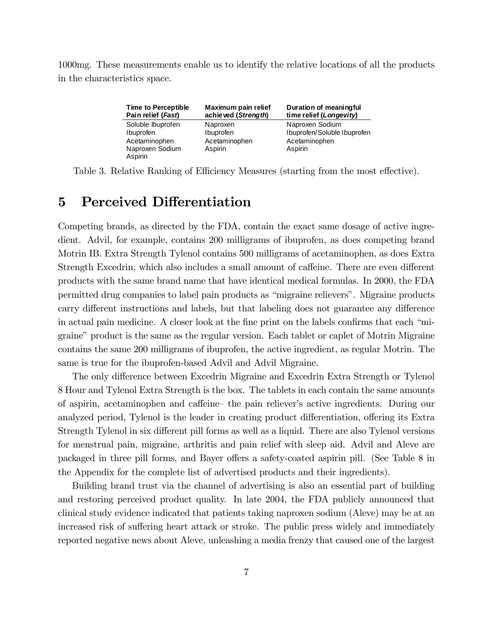1000mg. These measurements enable us to identify the relative locations of all the products in the characteristics space.

| <b>Time to Perceptible</b>                                                    | Maximum pain relief                               | Duration of meaningful                                                     |
|-------------------------------------------------------------------------------|---------------------------------------------------|----------------------------------------------------------------------------|
| Pain relief (Fast)                                                            | achieved (Strength)                               | time relief (Longevity)                                                    |
| Soluble Ibuprofen<br>Ibuprofen<br>Acetaminophen<br>Naproxen Sodium<br>Aspirin | Naproxen<br>Ibuprofen<br>Acetaminophen<br>Aspirin | Naproxen Sodium<br>Ibuprofen/Soluble Ibuprofen<br>Acetaminophen<br>Aspirin |

Table 3. Relative Ranking of Efficiency Measures (starting from the most effective).

# 5 Perceived Differentiation

Competing brands, as directed by the FDA, contain the exact same dosage of active ingredient. Advil, for example, contains 200 milligrams of ibuprofen, as does competing brand Motrin IB. Extra Strength Tylenol contains 500 milligrams of acetaminophen, as does Extra Strength Excedrin, which also includes a small amount of caffeine. There are even different products with the same brand name that have identical medical formulas. In 2000, the FDA permitted drug companies to label pain products as "migraine relievers". Migraine products carry different instructions and labels, but that labeling does not guarantee any difference in actual pain medicine. A closer look at the fine print on the labels confirms that each "migraine" product is the same as the regular version. Each tablet or caplet of Motrin Migraine contains the same 200 milligrams of ibuprofen, the active ingredient, as regular Motrin. The same is true for the ibuprofen-based Advil and Advil Migraine.

The only difference between Excedrin Migraine and Excedrin Extra Strength or Tylenol 8 Hour and Tylenol Extra Strength is the box. The tablets in each contain the same amounts of aspirin, acetaminophen and caffeine– the pain reliever's active ingredients. During our analyzed period, Tylenol is the leader in creating product differentiation, offering its Extra Strength Tylenol in six different pill forms as well as a liquid. There are also Tylenol versions for menstrual pain, migraine, arthritis and pain relief with sleep aid. Advil and Aleve are packaged in three pill forms, and Bayer offers a safety-coated aspirin pill. (See Table 8 in the Appendix for the complete list of advertised products and their ingredients).

Building brand trust via the channel of advertising is also an essential part of building and restoring perceived product quality. In late 2004, the FDA publicly announced that clinical study evidence indicated that patients taking naproxen sodium (Aleve) may be at an increased risk of suffering heart attack or stroke. The public press widely and immediately reported negative news about Aleve, unleashing a media frenzy that caused one of the largest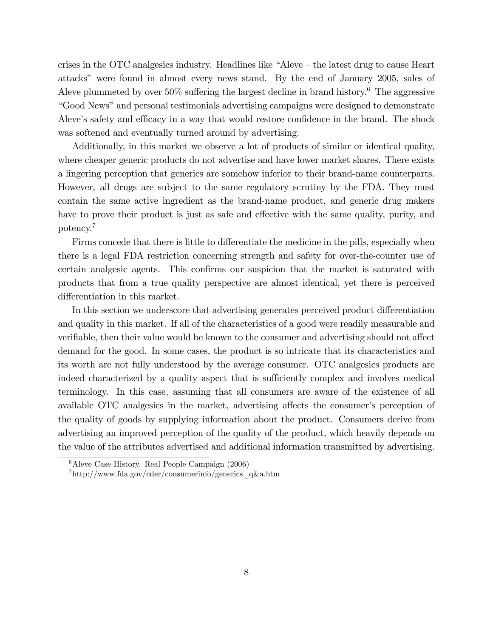crises in the OTC analgesics industry. Headlines like  $A\$ Aleve  $A$  the latest drug to cause Heart attacksî were found in almost every news stand. By the end of January 2005, sales of Aleve plummeted by over  $50\%$  suffering the largest decline in brand history.<sup>6</sup> The aggressive "Good News" and personal testimonials advertising campaigns were designed to demonstrate Aleve's safety and efficacy in a way that would restore confidence in the brand. The shock was softened and eventually turned around by advertising.

Additionally, in this market we observe a lot of products of similar or identical quality, where cheaper generic products do not advertise and have lower market shares. There exists a lingering perception that generics are somehow inferior to their brand-name counterparts. However, all drugs are subject to the same regulatory scrutiny by the FDA. They must contain the same active ingredient as the brand-name product, and generic drug makers have to prove their product is just as safe and effective with the same quality, purity, and potency.<sup>7</sup>

Firms concede that there is little to differentiate the medicine in the pills, especially when there is a legal FDA restriction concerning strength and safety for over-the-counter use of certain analgesic agents. This confirms our suspicion that the market is saturated with products that from a true quality perspective are almost identical, yet there is perceived differentiation in this market.

In this section we underscore that advertising generates perceived product differentiation and quality in this market. If all of the characteristics of a good were readily measurable and verifiable, then their value would be known to the consumer and advertising should not affect demand for the good. In some cases, the product is so intricate that its characteristics and its worth are not fully understood by the average consumer. OTC analgesics products are indeed characterized by a quality aspect that is sufficiently complex and involves medical terminology. In this case, assuming that all consumers are aware of the existence of all available OTC analgesics in the market, advertising affects the consumer's perception of the quality of goods by supplying information about the product. Consumers derive from advertising an improved perception of the quality of the product, which heavily depends on the value of the attributes advertised and additional information transmitted by advertising.

 ${}^{6}$ Aleve Case History. Real People Campaign (2006)

 $^{7}$ http://www.fda.gov/cder/consumerinfo/generics q&a.htm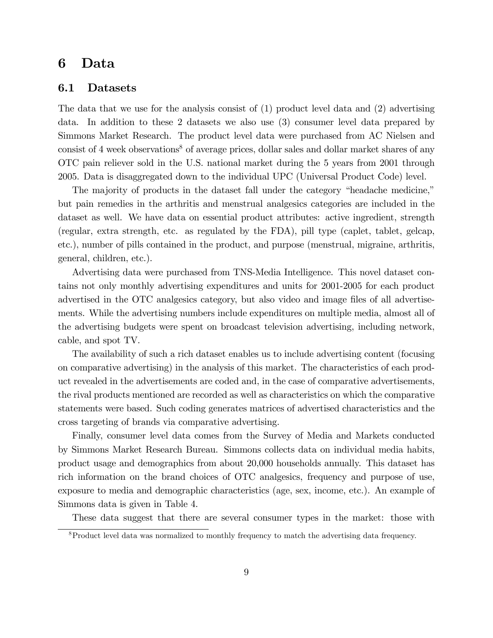### 6 Data

#### 6.1 Datasets

The data that we use for the analysis consist of (1) product level data and (2) advertising data. In addition to these 2 datasets we also use (3) consumer level data prepared by Simmons Market Research. The product level data were purchased from AC Nielsen and consist of 4 week observations<sup>8</sup> of average prices, dollar sales and dollar market shares of any OTC pain reliever sold in the U.S. national market during the 5 years from 2001 through 2005. Data is disaggregated down to the individual UPC (Universal Product Code) level.

The majority of products in the dataset fall under the category "headache medicine," but pain remedies in the arthritis and menstrual analgesics categories are included in the dataset as well. We have data on essential product attributes: active ingredient, strength (regular, extra strength, etc. as regulated by the FDA), pill type (caplet, tablet, gelcap, etc.), number of pills contained in the product, and purpose (menstrual, migraine, arthritis, general, children, etc.).

Advertising data were purchased from TNS-Media Intelligence. This novel dataset contains not only monthly advertising expenditures and units for 2001-2005 for each product advertised in the OTC analgesics category, but also video and image files of all advertisements. While the advertising numbers include expenditures on multiple media, almost all of the advertising budgets were spent on broadcast television advertising, including network, cable, and spot TV.

The availability of such a rich dataset enables us to include advertising content (focusing on comparative advertising) in the analysis of this market. The characteristics of each product revealed in the advertisements are coded and, in the case of comparative advertisements, the rival products mentioned are recorded as well as characteristics on which the comparative statements were based. Such coding generates matrices of advertised characteristics and the cross targeting of brands via comparative advertising.

Finally, consumer level data comes from the Survey of Media and Markets conducted by Simmons Market Research Bureau. Simmons collects data on individual media habits, product usage and demographics from about 20,000 households annually. This dataset has rich information on the brand choices of OTC analgesics, frequency and purpose of use, exposure to media and demographic characteristics (age, sex, income, etc.). An example of Simmons data is given in Table 4.

These data suggest that there are several consumer types in the market: those with

<sup>8</sup>Product level data was normalized to monthly frequency to match the advertising data frequency.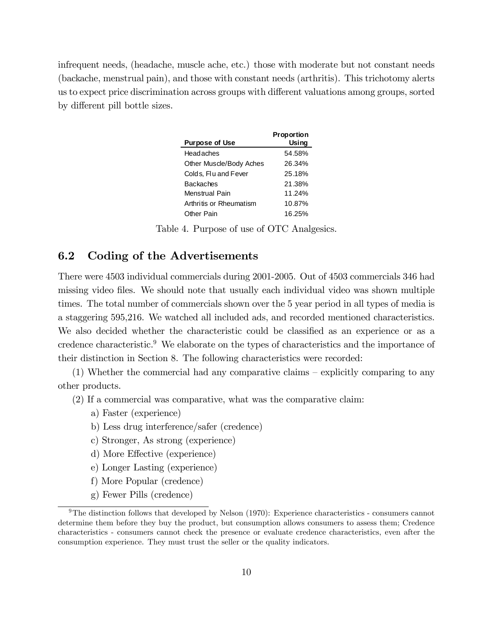infrequent needs, (headache, muscle ache, etc.) those with moderate but not constant needs (backache, menstrual pain), and those with constant needs (arthritis). This trichotomy alerts us to expect price discrimination across groups with different valuations among groups, sorted by different pill bottle sizes.

| <b>Purpose of Use</b>   | Proportion<br>Using |
|-------------------------|---------------------|
| Headaches               | 54.58%              |
| Other Muscle/Body Aches | 26.34%              |
| Colds, Flu and Fever    | 25.18%              |
| Backaches               | 21.38%              |
| Menstrual Pain          | 11.24%              |
| Arthritis or Rheumatism | 10.87%              |
| Other Pain              | 16.25%              |

Table 4. Purpose of use of OTC Analgesics.

#### 6.2 Coding of the Advertisements

There were 4503 individual commercials during 2001-2005. Out of 4503 commercials 346 had missing video files. We should note that usually each individual video was shown multiple times. The total number of commercials shown over the 5 year period in all types of media is a staggering 595,216. We watched all included ads, and recorded mentioned characteristics. We also decided whether the characteristic could be classified as an experience or as a credence characteristic.<sup>9</sup> We elaborate on the types of characteristics and the importance of their distinction in Section 8. The following characteristics were recorded:

 $(1)$  Whether the commercial had any comparative claims – explicitly comparing to any other products.

(2) If a commercial was comparative, what was the comparative claim:

- a) Faster (experience)
- b) Less drug interference/safer (credence)
- c) Stronger, As strong (experience)
- d) More Effective (experience)
- e) Longer Lasting (experience)
- f) More Popular (credence)
- g) Fewer Pills (credence)

<sup>&</sup>lt;sup>9</sup>The distinction follows that developed by Nelson (1970): Experience characteristics - consumers cannot determine them before they buy the product, but consumption allows consumers to assess them; Credence characteristics - consumers cannot check the presence or evaluate credence characteristics, even after the consumption experience. They must trust the seller or the quality indicators.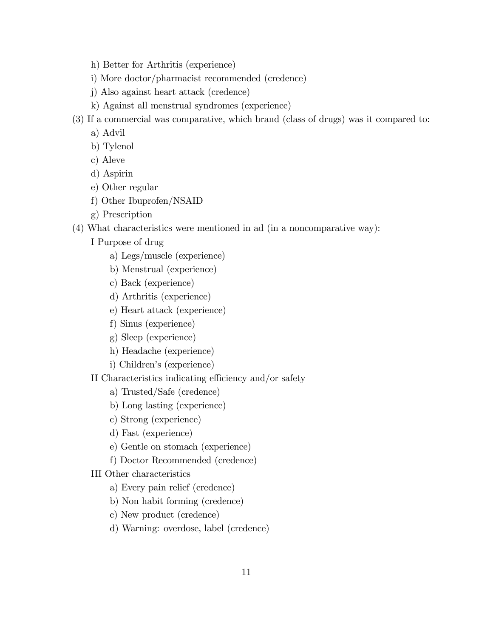- h) Better for Arthritis (experience)
- i) More doctor/pharmacist recommended (credence)
- j) Also against heart attack (credence)
- k) Against all menstrual syndromes (experience)
- (3) If a commercial was comparative, which brand (class of drugs) was it compared to:
	- a) Advil
	- b) Tylenol
	- c) Aleve
	- d) Aspirin
	- e) Other regular
	- f) Other Ibuprofen/NSAID
	- g) Prescription
- (4) What characteristics were mentioned in ad (in a noncomparative way):
	- I Purpose of drug
		- a) Legs/muscle (experience)
		- b) Menstrual (experience)
		- c) Back (experience)
		- d) Arthritis (experience)
		- e) Heart attack (experience)
		- f) Sinus (experience)
		- g) Sleep (experience)
		- h) Headache (experience)
		- i) Children's (experience)
	- II Characteristics indicating efficiency and/or safety
		- a) Trusted/Safe (credence)
		- b) Long lasting (experience)
		- c) Strong (experience)
		- d) Fast (experience)
		- e) Gentle on stomach (experience)
		- f) Doctor Recommended (credence)
	- III Other characteristics
		- a) Every pain relief (credence)
		- b) Non habit forming (credence)
		- c) New product (credence)
		- d) Warning: overdose, label (credence)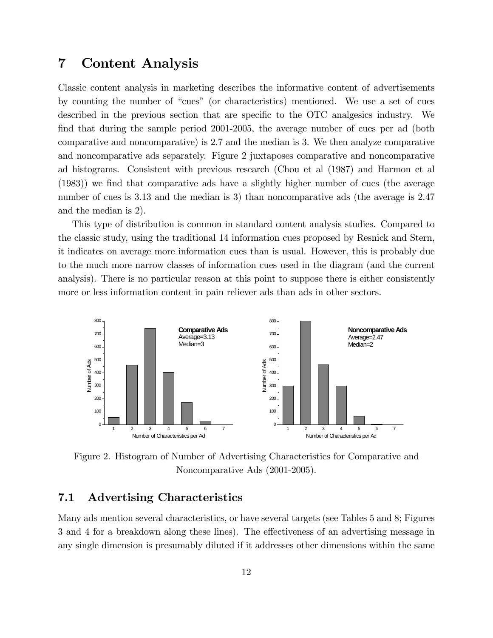### 7 Content Analysis

Classic content analysis in marketing describes the informative content of advertisements by counting the number of "cues" (or characteristics) mentioned. We use a set of cues described in the previous section that are specific to the OTC analgesics industry. We find that during the sample period 2001-2005, the average number of cues per ad (both comparative and noncomparative) is 2.7 and the median is 3. We then analyze comparative and noncomparative ads separately. Figure 2 juxtaposes comparative and noncomparative ad histograms. Consistent with previous research (Chou et al (1987) and Harmon et al  $(1983)$ ) we find that comparative ads have a slightly higher number of cues (the average number of cues is 3.13 and the median is 3) than noncomparative ads (the average is 2.47 and the median is 2).

This type of distribution is common in standard content analysis studies. Compared to the classic study, using the traditional 14 information cues proposed by Resnick and Stern, it indicates on average more information cues than is usual. However, this is probably due to the much more narrow classes of information cues used in the diagram (and the current analysis). There is no particular reason at this point to suppose there is either consistently more or less information content in pain reliever ads than ads in other sectors.



Figure 2. Histogram of Number of Advertising Characteristics for Comparative and Noncomparative Ads (2001-2005).

#### 7.1 Advertising Characteristics

Many ads mention several characteristics, or have several targets (see Tables 5 and 8; Figures 3 and 4 for a breakdown along these lines). The effectiveness of an advertising message in any single dimension is presumably diluted if it addresses other dimensions within the same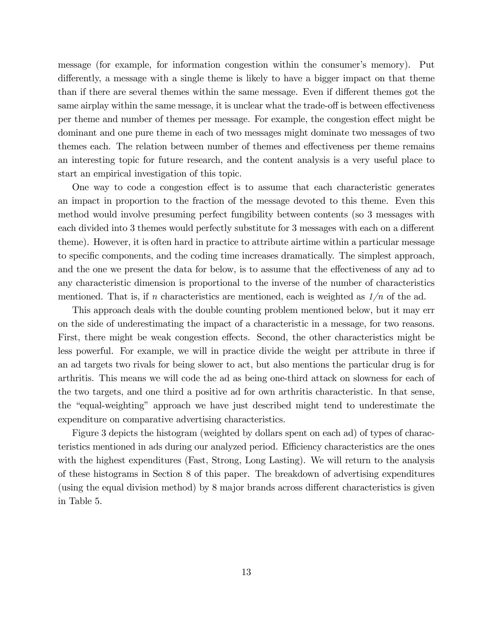message (for example, for information congestion within the consumer's memory). Put differently, a message with a single theme is likely to have a bigger impact on that theme than if there are several themes within the same message. Even if different themes got the same airplay within the same message, it is unclear what the trade-off is between effectiveness per theme and number of themes per message. For example, the congestion effect might be dominant and one pure theme in each of two messages might dominate two messages of two themes each. The relation between number of themes and effectiveness per theme remains an interesting topic for future research, and the content analysis is a very useful place to start an empirical investigation of this topic.

One way to code a congestion effect is to assume that each characteristic generates an impact in proportion to the fraction of the message devoted to this theme. Even this method would involve presuming perfect fungibility between contents (so 3 messages with each divided into 3 themes would perfectly substitute for 3 messages with each on a different theme). However, it is often hard in practice to attribute airtime within a particular message to specific components, and the coding time increases dramatically. The simplest approach, and the one we present the data for below, is to assume that the effectiveness of any ad to any characteristic dimension is proportional to the inverse of the number of characteristics mentioned. That is, if n characteristics are mentioned, each is weighted as  $1/n$  of the ad.

This approach deals with the double counting problem mentioned below, but it may err on the side of underestimating the impact of a characteristic in a message, for two reasons. First, there might be weak congestion effects. Second, the other characteristics might be less powerful. For example, we will in practice divide the weight per attribute in three if an ad targets two rivals for being slower to act, but also mentions the particular drug is for arthritis. This means we will code the ad as being one-third attack on slowness for each of the two targets, and one third a positive ad for own arthritis characteristic. In that sense, the "equal-weighting" approach we have just described might tend to underestimate the expenditure on comparative advertising characteristics.

Figure 3 depicts the histogram (weighted by dollars spent on each ad) of types of characteristics mentioned in ads during our analyzed period. Efficiency characteristics are the ones with the highest expenditures (Fast, Strong, Long Lasting). We will return to the analysis of these histograms in Section 8 of this paper. The breakdown of advertising expenditures (using the equal division method) by  $8$  major brands across different characteristics is given in Table 5.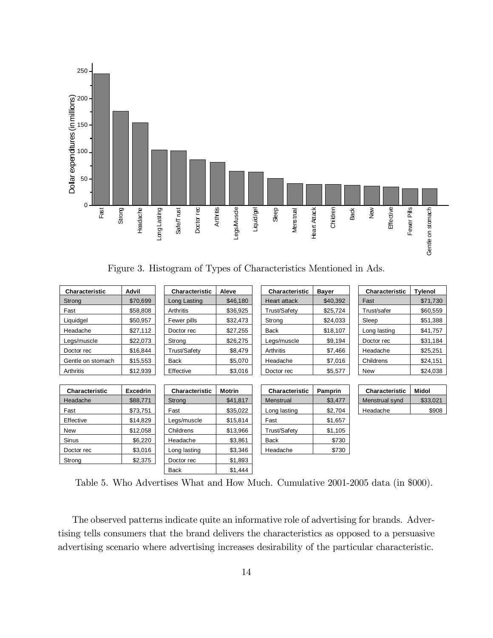

Figure 3. Histogram of Types of Characteristics Mentioned in Ads.

| Characteristic    | Advil           | <b>Characteristic</b> | Aleve         | Characteristic | <b>Bayer</b> | <b>Characteristic</b> | <b>Tylenol</b> |
|-------------------|-----------------|-----------------------|---------------|----------------|--------------|-----------------------|----------------|
| Strong            | \$70,699        | Long Lasting          | \$46,180      | Heart attack   | \$40,392     | Fast                  | \$71,730       |
| Fast              | \$58,808        | Arthritis             | \$36,925      | Trust/Safety   | \$25,724     | Trust/safer           | \$60,559       |
| Liquidgel         | \$50,957        | Fewer pills           | \$32,473      | Strong         | \$24,033     | Sleep                 | \$51,388       |
| Headache          | \$27,112        | Doctor rec            | \$27,255      | <b>Back</b>    | \$18,107     | Long lasting          | \$41,757       |
| Legs/muscle       | \$22,073        | Strong                | \$26,275      | Legs/muscle    | \$9,194      | Doctor rec            | \$31,184       |
| Doctor rec        | \$16,844        | Trust/Safety          | \$8,479       | Arthritis      | \$7,466      | Headache              | \$25,251       |
| Gentle on stomach | \$15,553        | <b>Back</b>           | \$5,070       | Headache       | \$7,016      | Childrens             | \$24,151       |
| Arthritis         | \$12,939        | Effective             | \$3,016       | Doctor rec     | \$5,577      | <b>New</b>            | \$24,038       |
|                   |                 |                       |               |                |              |                       |                |
| Characteristic    | <b>Excedrin</b> | <b>Characteristic</b> | <b>Motrin</b> | Characteristic | Pamprin      | Characteristic        | <b>Midol</b>   |
| Headache          | \$88,771        | Strong                | \$41,817      | Menstrual      | \$3,477      | Menstrual synd        | \$33,021       |
| Fast              | \$73,751        | Fast                  | \$35,022      | Long lasting   | \$2,704      | Headache              | \$908          |
| Effective         | \$14,829        | Legs/muscle           | \$15,814      | Fast           | \$1,657      |                       |                |
| New               | \$12,058        | Childrens             | \$13,966      | Trust/Safety   | \$1,105      |                       |                |
| Sinus             | \$6,220         | Headache              | \$3,861       | Back           | \$730        |                       |                |
| Doctor rec        | \$3,016         | Long lasting          | \$3,346       | Headache       | \$730        |                       |                |
| Strong            | \$2,375         | Doctor rec            | \$1,893       |                |              |                       |                |
|                   |                 | Back                  | \$1,444       |                |              |                       |                |

Table 5. Who Advertises What and How Much. Cumulative 2001-2005 data (in \$000).

The observed patterns indicate quite an informative role of advertising for brands. Advertising tells consumers that the brand delivers the characteristics as opposed to a persuasive advertising scenario where advertising increases desirability of the particular characteristic.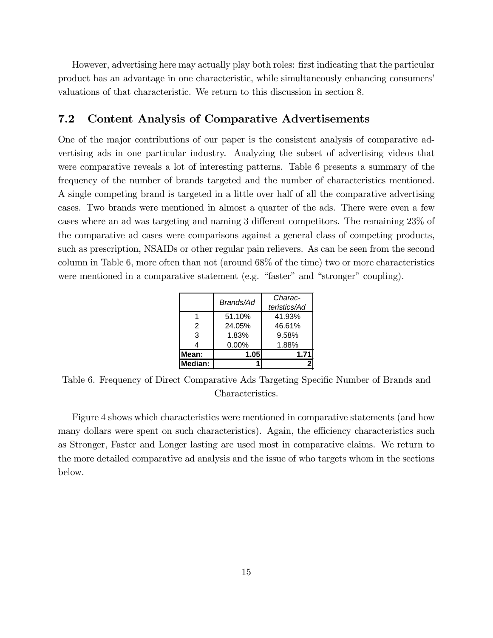However, advertising here may actually play both roles: Örst indicating that the particular product has an advantage in one characteristic, while simultaneously enhancing consumersí valuations of that characteristic. We return to this discussion in section 8.

#### 7.2 Content Analysis of Comparative Advertisements

One of the major contributions of our paper is the consistent analysis of comparative advertising ads in one particular industry. Analyzing the subset of advertising videos that were comparative reveals a lot of interesting patterns. Table 6 presents a summary of the frequency of the number of brands targeted and the number of characteristics mentioned. A single competing brand is targeted in a little over half of all the comparative advertising cases. Two brands were mentioned in almost a quarter of the ads. There were even a few cases where an ad was targeting and naming  $3$  different competitors. The remaining  $23\%$  of the comparative ad cases were comparisons against a general class of competing products, such as prescription, NSAIDs or other regular pain relievers. As can be seen from the second column in Table 6, more often than not (around 68% of the time) two or more characteristics were mentioned in a comparative statement (e.g. "faster" and "stronger" coupling).

|         | Brands/Ad | Charac-      |
|---------|-----------|--------------|
|         |           | teristics/Ad |
|         | 51.10%    | 41.93%       |
| 2       | 24.05%    | 46.61%       |
| 3       | 1.83%     | 9.58%        |
| 4       | $0.00\%$  | 1.88%        |
| Mean:   | 1.05      | 1.71         |
| Median: |           |              |

Table 6. Frequency of Direct Comparative Ads Targeting Specific Number of Brands and Characteristics.

Figure 4 shows which characteristics were mentioned in comparative statements (and how many dollars were spent on such characteristics). Again, the efficiency characteristics such as Stronger, Faster and Longer lasting are used most in comparative claims. We return to the more detailed comparative ad analysis and the issue of who targets whom in the sections below.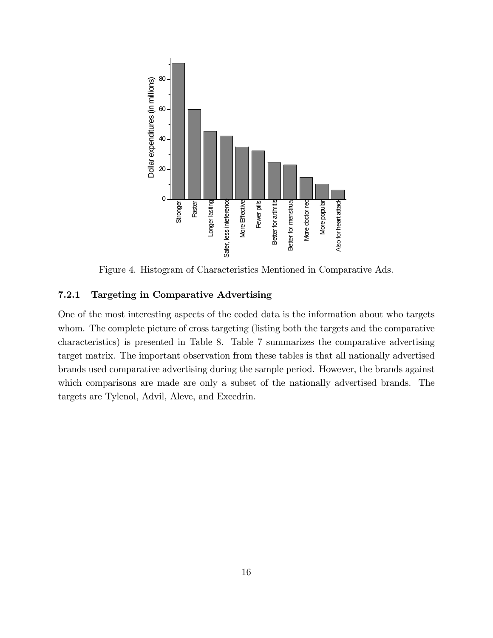

Figure 4. Histogram of Characteristics Mentioned in Comparative Ads.

#### 7.2.1 Targeting in Comparative Advertising

One of the most interesting aspects of the coded data is the information about who targets whom. The complete picture of cross targeting (listing both the targets and the comparative characteristics) is presented in Table 8. Table 7 summarizes the comparative advertising target matrix. The important observation from these tables is that all nationally advertised brands used comparative advertising during the sample period. However, the brands against which comparisons are made are only a subset of the nationally advertised brands. The targets are Tylenol, Advil, Aleve, and Excedrin.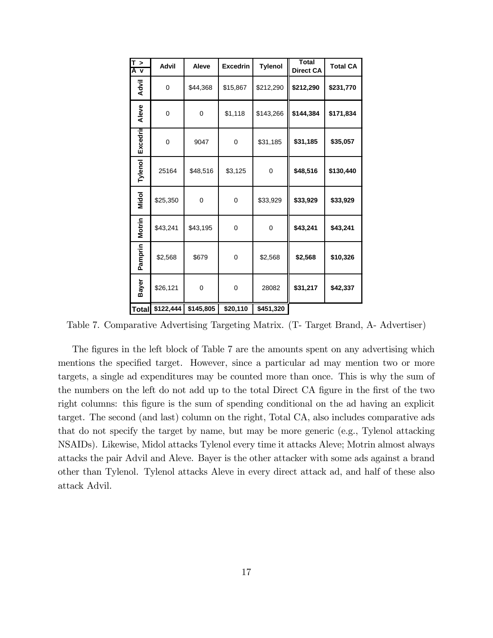| T ><br>A v    | <b>Advil</b>    | Aleve          | <b>Excedrin</b> | <b>Tylenol</b> | <b>Total</b><br><b>Direct CA</b> | <b>Total CA</b> |
|---------------|-----------------|----------------|-----------------|----------------|----------------------------------|-----------------|
| Advil         | 0               | \$44,368       | \$15,867        | \$212,290      | \$212,290                        | \$231,770       |
| Aleve         | 0               | 0              | \$1,118         | \$143,266      | \$144,384                        | \$171,834       |
| Excedrin      | 0               | 9047           | $\overline{0}$  | \$31,185       | \$31,185                         | \$35,057        |
| Tylenol       | 25164           | \$48,516       | \$3,125         | $\mathbf 0$    | \$48,516                         | \$130,440       |
| Midol         | \$25,350        | $\overline{0}$ | 0               | \$33,929       | \$33,929                         | \$33,929        |
| <b>Motrin</b> | \$43,241        | \$43,195       | 0               | 0              | \$43,241                         | \$43,241        |
| Pamprin       | \$2,568         | \$679          | 0               | \$2,568        | \$2,568                          | \$10,326        |
| Bayer         | \$26,121        | 0              | $\mathbf 0$     | 28082          | \$31,217                         | \$42,337        |
|               | Total \$122,444 | \$145,805      | \$20,110        | \$451,320      |                                  |                 |

Table 7. Comparative Advertising Targeting Matrix. (T- Target Brand, A- Advertiser)

The figures in the left block of Table 7 are the amounts spent on any advertising which mentions the specified target. However, since a particular ad may mention two or more targets, a single ad expenditures may be counted more than once. This is why the sum of the numbers on the left do not add up to the total Direct CA figure in the first of the two right columns: this Ögure is the sum of spending conditional on the ad having an explicit target. The second (and last) column on the right, Total CA, also includes comparative ads that do not specify the target by name, but may be more generic (e.g., Tylenol attacking NSAIDs). Likewise, Midol attacks Tylenol every time it attacks Aleve; Motrin almost always attacks the pair Advil and Aleve. Bayer is the other attacker with some ads against a brand other than Tylenol. Tylenol attacks Aleve in every direct attack ad, and half of these also attack Advil.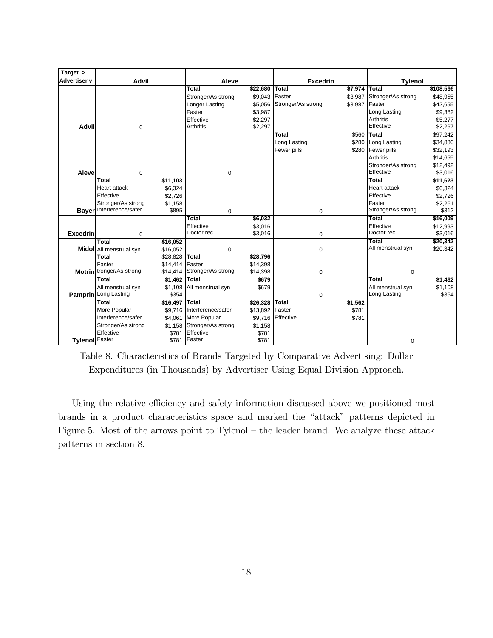| Target >            |                                          |                      |                         |                    |                    |             |                         |                     |
|---------------------|------------------------------------------|----------------------|-------------------------|--------------------|--------------------|-------------|-------------------------|---------------------|
| <b>Advertiser v</b> | <b>Advil</b>                             |                      | Aleve                   |                    | <b>Excedrin</b>    |             | <b>Tylenol</b>          |                     |
|                     |                                          |                      | Total                   | \$22,680           | Total              | \$7,974     | Total                   | \$108,566           |
|                     |                                          |                      | Stronger/As strong      | \$9.043            | Faster             | \$3.987     | Stronger/As strong      | \$48,955            |
|                     |                                          |                      | Longer Lasting          | \$5,056            | Stronger/As strong | \$3,987     | Faster                  | \$42,655            |
|                     |                                          |                      | Faster                  | \$3,987            |                    |             | Long Lasting            | \$9,382             |
|                     |                                          |                      | Effective               | \$2,297            |                    |             | <b>Arthritis</b>        | \$5,277             |
| <b>Advil</b>        | $\mathbf 0$                              |                      | <b>Arthritis</b>        | \$2,297            |                    |             | Effective               | \$2,297             |
|                     |                                          |                      |                         |                    | Total              | \$560 Total |                         | \$97,242            |
|                     |                                          |                      |                         |                    | Long Lasting       |             | \$280 Long Lasting      | \$34,886            |
|                     |                                          |                      |                         |                    | Fewer pills        |             | \$280 Fewer pills       | \$32,193            |
|                     |                                          |                      |                         |                    |                    |             | <b>Arthritis</b>        | \$14,655            |
|                     |                                          |                      |                         |                    |                    |             | Stronger/As strong      | \$12,492            |
| Aleve               | $\mathbf 0$                              |                      | 0                       |                    |                    |             | Effective               | \$3,016             |
|                     | Total                                    | \$11,103             |                         |                    |                    |             | <b>Total</b>            | \$11,623            |
|                     | <b>Heart attack</b>                      | \$6,324              |                         |                    |                    |             | <b>Heart attack</b>     | \$6,324             |
|                     | Effective                                | \$2,726              |                         |                    |                    |             | Effective               | \$2,726             |
|                     | Stronger/As strong<br>Interference/safer | \$1,158              |                         |                    |                    |             | Faster                  | \$2,261             |
| <b>Bayer</b>        |                                          | \$895                | 0                       |                    | $\mathbf 0$        |             | Stronger/As strong      | \$312               |
|                     |                                          |                      | Total                   | \$6,032            |                    |             | Total                   | \$16,009            |
| <b>Excedrin</b>     |                                          |                      | Effective<br>Doctor rec | \$3,016<br>\$3,016 |                    |             | Effective<br>Doctor rec | \$12,993<br>\$3,016 |
|                     | $\mathbf 0$<br>Total                     |                      |                         |                    | $\mathbf 0$        |             | Total                   | \$20,342            |
|                     |                                          | \$16,052<br>\$16,052 | 0                       |                    | $\mathbf 0$        |             | All menstrual syn       | \$20,342            |
|                     | Midol All menstrual syn<br>Total         | \$28,828             | <b>Total</b>            | \$28,796           |                    |             |                         |                     |
|                     | Faster                                   | \$14,414             | <b>Faster</b>           | \$14,398           |                    |             |                         |                     |
|                     | Motrin tronger/As strong                 | \$14,414             | Stronger/As strong      | \$14,398           | 0                  |             | $\mathbf 0$             |                     |
|                     | Total                                    | \$1,462              | <b>Total</b>            | \$679              |                    |             | Total                   | \$1,462             |
|                     | All menstrual syn                        | \$1,108              | All menstrual syn       | \$679              |                    |             | All menstrual syn       | \$1,108             |
|                     | Pamprin Long Lasting                     | \$354                |                         |                    | $\mathbf 0$        |             | Long Lasting            | \$354               |
|                     | Total                                    | \$16,497             | Total                   | \$26,328           | <b>Total</b>       | \$1,562     |                         |                     |
|                     | More Popular                             | \$9.716              | Interference/safer      | \$13,892           | Faster             | \$781       |                         |                     |
|                     | Interference/safer                       | \$4,061              | More Popular            | \$9,716            | Effective          | \$781       |                         |                     |
|                     | Stronger/As strong                       | \$1,158              | Stronger/As strong      | \$1,158            |                    |             |                         |                     |
|                     | Effective                                | \$781                | Effective               | \$781              |                    |             |                         |                     |
| Tylenol Faster      |                                          | \$781                | Faster                  | \$781              |                    |             | $\mathbf 0$             |                     |

Table 8. Characteristics of Brands Targeted by Comparative Advertising: Dollar Expenditures (in Thousands) by Advertiser Using Equal Division Approach.

Using the relative efficiency and safety information discussed above we positioned most brands in a product characteristics space and marked the "attack" patterns depicted in Figure 5. Most of the arrows point to Tylenol  $-$  the leader brand. We analyze these attack patterns in section 8.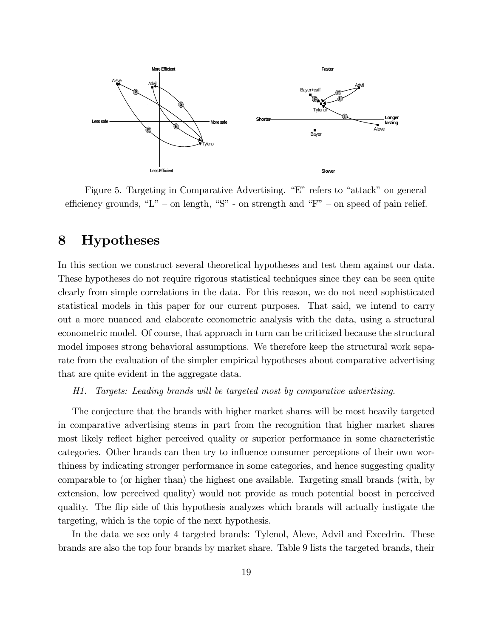

Figure 5. Targeting in Comparative Advertising. "E" refers to "attack" on general efficiency grounds, "L" - on length, "S" - on strength and "F" - on speed of pain relief.

### 8 Hypotheses

In this section we construct several theoretical hypotheses and test them against our data. These hypotheses do not require rigorous statistical techniques since they can be seen quite clearly from simple correlations in the data. For this reason, we do not need sophisticated statistical models in this paper for our current purposes. That said, we intend to carry out a more nuanced and elaborate econometric analysis with the data, using a structural econometric model. Of course, that approach in turn can be criticized because the structural model imposes strong behavioral assumptions. We therefore keep the structural work separate from the evaluation of the simpler empirical hypotheses about comparative advertising that are quite evident in the aggregate data.

#### H1. Targets: Leading brands will be targeted most by comparative advertising.

The conjecture that the brands with higher market shares will be most heavily targeted in comparative advertising stems in part from the recognition that higher market shares most likely reflect higher perceived quality or superior performance in some characteristic categories. Other brands can then try to influence consumer perceptions of their own worthiness by indicating stronger performance in some categories, and hence suggesting quality comparable to (or higher than) the highest one available. Targeting small brands (with, by extension, low perceived quality) would not provide as much potential boost in perceived quality. The áip side of this hypothesis analyzes which brands will actually instigate the targeting, which is the topic of the next hypothesis.

In the data we see only 4 targeted brands: Tylenol, Aleve, Advil and Excedrin. These brands are also the top four brands by market share. Table 9 lists the targeted brands, their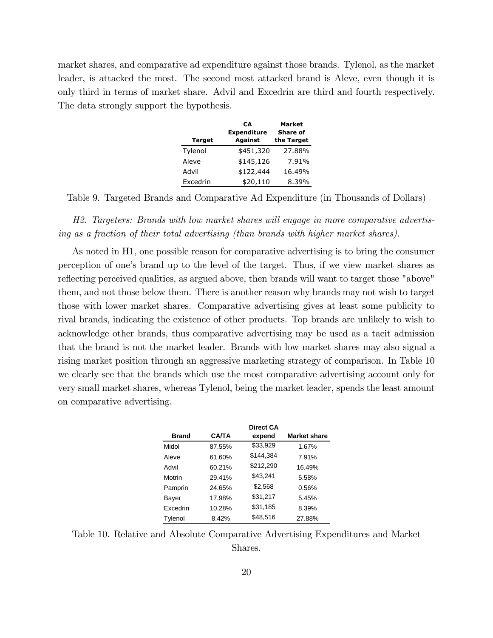market shares, and comparative ad expenditure against those brands. Tylenol, as the market leader, is attacked the most. The second most attacked brand is Aleve, even though it is only third in terms of market share. Advil and Excedrin are third and fourth respectively. The data strongly support the hypothesis.

|               | CА<br><b>Expenditure</b> | <b>Market</b><br><b>Share of</b> |
|---------------|--------------------------|----------------------------------|
| <b>Target</b> | Against                  | the Target                       |
| Tylenol       | \$451,320                | 27.88%                           |
| Aleve         | \$145,126                | 7.91%                            |
| Advil         | \$122,444                | 16.49%                           |
| Excedrin      | \$20,110                 | 8.39%                            |

Table 9. Targeted Brands and Comparative Ad Expenditure (in Thousands of Dollars)

H2. Targeters: Brands with low market shares will engage in more comparative advertising as a fraction of their total advertising (than brands with higher market shares).

As noted in H1, one possible reason for comparative advertising is to bring the consumer perception of oneís brand up to the level of the target. Thus, if we view market shares as reflecting perceived qualities, as argued above, then brands will want to target those "above" them, and not those below them. There is another reason why brands may not wish to target those with lower market shares. Comparative advertising gives at least some publicity to rival brands, indicating the existence of other products. Top brands are unlikely to wish to acknowledge other brands, thus comparative advertising may be used as a tacit admission that the brand is not the market leader. Brands with low market shares may also signal a rising market position through an aggressive marketing strategy of comparison. In Table 10 we clearly see that the brands which use the most comparative advertising account only for very small market shares, whereas Tylenol, being the market leader, spends the least amount on comparative advertising.

|                 |              | Direct CA |                     |
|-----------------|--------------|-----------|---------------------|
| <b>Brand</b>    | <b>CA/TA</b> | expend    | <b>Market share</b> |
| Midol           | 87.55%       | \$33,929  | 1.67%               |
| Aleve           | 61.60%       | \$144,384 | 7.91%               |
| Advil           | 60.21%       | \$212,290 | 16.49%              |
| Motrin          | 29.41%       | \$43.241  | 5.58%               |
| Pamprin         | 24.65%       | \$2,568   | 0.56%               |
| Bayer           | 17.98%       | \$31,217  | 5.45%               |
| <b>Fxcedrin</b> | 10.28%       | \$31,185  | 8.39%               |
| Tylenol         | 8.42%        | \$48,516  | 27.88%              |

Table 10. Relative and Absolute Comparative Advertising Expenditures and Market Shares.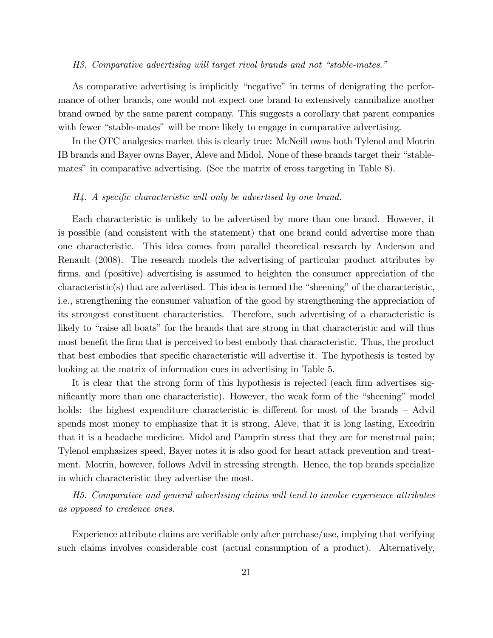#### H3. Comparative advertising will target rival brands and not "stable-mates."

As comparative advertising is implicitly "negative" in terms of denigrating the performance of other brands, one would not expect one brand to extensively cannibalize another brand owned by the same parent company. This suggests a corollary that parent companies with fewer "stable-mates" will be more likely to engage in comparative advertising.

In the OTC analgesics market this is clearly true: McNeill owns both Tylenol and Motrin IB brands and Bayer owns Bayer, Aleve and Midol. None of these brands target their "stablemates" in comparative advertising. (See the matrix of cross targeting in Table 8).

#### $H_4$ . A specific characteristic will only be advertised by one brand.

Each characteristic is unlikely to be advertised by more than one brand. However, it is possible (and consistent with the statement) that one brand could advertise more than one characteristic. This idea comes from parallel theoretical research by Anderson and Renault (2008). The research models the advertising of particular product attributes by firms, and (positive) advertising is assumed to heighten the consumer appreciation of the  $\alpha$  characteristic(s) that are advertised. This idea is termed the "sheening" of the characteristic, i.e., strengthening the consumer valuation of the good by strengthening the appreciation of its strongest constituent characteristics. Therefore, such advertising of a characteristic is likely to "raise all boats" for the brands that are strong in that characteristic and will thus most benefit the firm that is perceived to best embody that characteristic. Thus, the product that best embodies that specific characteristic will advertise it. The hypothesis is tested by looking at the matrix of information cues in advertising in Table 5.

It is clear that the strong form of this hypothesis is rejected (each firm advertises significantly more than one characteristic). However, the weak form of the "sheening" model holds: the highest expenditure characteristic is different for most of the brands  $-$  Advil spends most money to emphasize that it is strong, Aleve, that it is long lasting, Excedrin that it is a headache medicine. Midol and Pamprin stress that they are for menstrual pain; Tylenol emphasizes speed, Bayer notes it is also good for heart attack prevention and treatment. Motrin, however, follows Advil in stressing strength. Hence, the top brands specialize in which characteristic they advertise the most.

H5. Comparative and general advertising claims will tend to involve experience attributes as opposed to credence ones.

Experience attribute claims are verifiable only after purchase/use, implying that verifying such claims involves considerable cost (actual consumption of a product). Alternatively,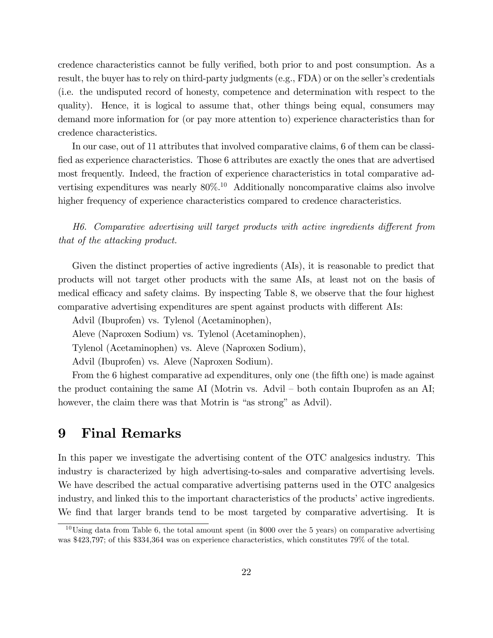credence characteristics cannot be fully verified, both prior to and post consumption. As a result, the buyer has to rely on third-party judgments (e.g.,  $FDA$ ) or on the seller's credentials (i.e. the undisputed record of honesty, competence and determination with respect to the quality). Hence, it is logical to assume that, other things being equal, consumers may demand more information for (or pay more attention to) experience characteristics than for credence characteristics.

In our case, out of 11 attributes that involved comparative claims, 6 of them can be classified as experience characteristics. Those 6 attributes are exactly the ones that are advertised most frequently. Indeed, the fraction of experience characteristics in total comparative advertising expenditures was nearly  $80\%$ .<sup>10</sup> Additionally noncomparative claims also involve higher frequency of experience characteristics compared to credence characteristics.

 $H6.$  Comparative advertising will target products with active ingredients different from that of the attacking product.

Given the distinct properties of active ingredients (AIs), it is reasonable to predict that products will not target other products with the same AIs, at least not on the basis of medical efficacy and safety claims. By inspecting Table 8, we observe that the four highest comparative advertising expenditures are spent against products with different AIs:

Advil (Ibuprofen) vs. Tylenol (Acetaminophen),

Aleve (Naproxen Sodium) vs. Tylenol (Acetaminophen),

Tylenol (Acetaminophen) vs. Aleve (Naproxen Sodium),

Advil (Ibuprofen) vs. Aleve (Naproxen Sodium).

From the 6 highest comparative ad expenditures, only one (the fifth one) is made against the product containing the same AI (Motrin vs. Advil  $-$  both contain Ibuprofen as an AI; however, the claim there was that Motrin is "as strong" as Advil).

### 9 Final Remarks

In this paper we investigate the advertising content of the OTC analgesics industry. This industry is characterized by high advertising-to-sales and comparative advertising levels. We have described the actual comparative advertising patterns used in the OTC analgesics industry, and linked this to the important characteristics of the products' active ingredients. We find that larger brands tend to be most targeted by comparative advertising. It is

 $10$ Using data from Table 6, the total amount spent (in \$000 over the 5 years) on comparative advertising was \$423,797; of this \$334,364 was on experience characteristics, which constitutes 79% of the total.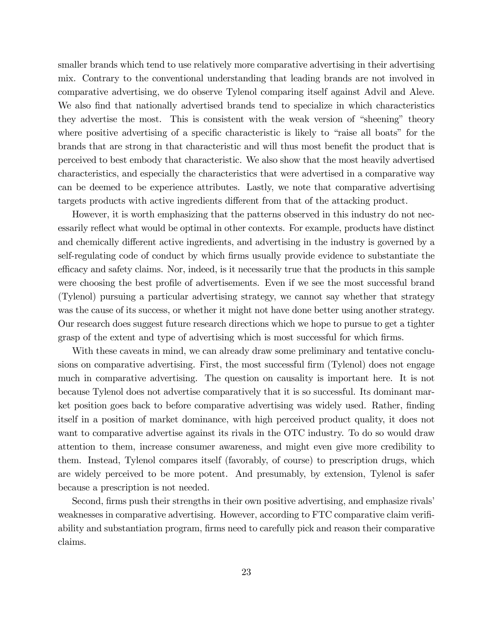smaller brands which tend to use relatively more comparative advertising in their advertising mix. Contrary to the conventional understanding that leading brands are not involved in comparative advertising, we do observe Tylenol comparing itself against Advil and Aleve. We also find that nationally advertised brands tend to specialize in which characteristics they advertise the most. This is consistent with the weak version of "sheening" theory where positive advertising of a specific characteristic is likely to "raise all boats" for the brands that are strong in that characteristic and will thus most benefit the product that is perceived to best embody that characteristic. We also show that the most heavily advertised characteristics, and especially the characteristics that were advertised in a comparative way can be deemed to be experience attributes. Lastly, we note that comparative advertising targets products with active ingredients different from that of the attacking product.

However, it is worth emphasizing that the patterns observed in this industry do not necessarily reflect what would be optimal in other contexts. For example, products have distinct and chemically different active ingredients, and advertising in the industry is governed by a self-regulating code of conduct by which firms usually provide evidence to substantiate the efficacy and safety claims. Nor, indeed, is it necessarily true that the products in this sample were choosing the best profile of advertisements. Even if we see the most successful brand (Tylenol) pursuing a particular advertising strategy, we cannot say whether that strategy was the cause of its success, or whether it might not have done better using another strategy. Our research does suggest future research directions which we hope to pursue to get a tighter grasp of the extent and type of advertising which is most successful for which firms.

With these caveats in mind, we can already draw some preliminary and tentative conclusions on comparative advertising. First, the most successful firm (Tylenol) does not engage much in comparative advertising. The question on causality is important here. It is not because Tylenol does not advertise comparatively that it is so successful. Its dominant market position goes back to before comparative advertising was widely used. Rather, finding itself in a position of market dominance, with high perceived product quality, it does not want to comparative advertise against its rivals in the OTC industry. To do so would draw attention to them, increase consumer awareness, and might even give more credibility to them. Instead, Tylenol compares itself (favorably, of course) to prescription drugs, which are widely perceived to be more potent. And presumably, by extension, Tylenol is safer because a prescription is not needed.

Second, firms push their strengths in their own positive advertising, and emphasize rivals weaknesses in comparative advertising. However, according to FTC comparative claim verifiability and substantiation program, firms need to carefully pick and reason their comparative claims.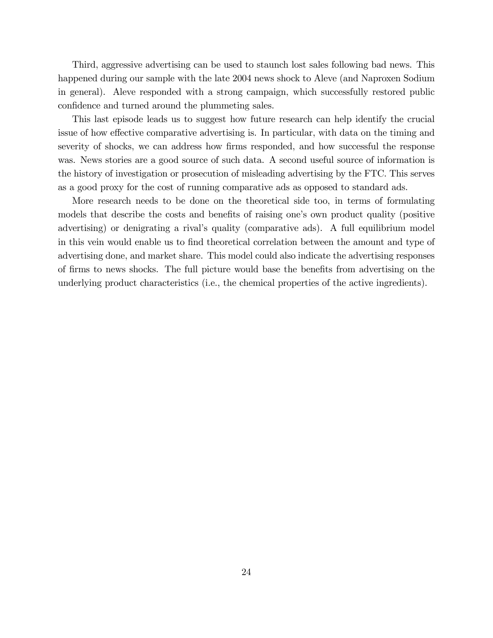Third, aggressive advertising can be used to staunch lost sales following bad news. This happened during our sample with the late 2004 news shock to Aleve (and Naproxen Sodium in general). Aleve responded with a strong campaign, which successfully restored public confidence and turned around the plummeting sales.

This last episode leads us to suggest how future research can help identify the crucial issue of how effective comparative advertising is. In particular, with data on the timing and severity of shocks, we can address how firms responded, and how successful the response was. News stories are a good source of such data. A second useful source of information is the history of investigation or prosecution of misleading advertising by the FTC. This serves as a good proxy for the cost of running comparative ads as opposed to standard ads.

More research needs to be done on the theoretical side too, in terms of formulating models that describe the costs and benefits of raising one's own product quality (positive advertising) or denigrating a rival's quality (comparative ads). A full equilibrium model in this vein would enable us to Önd theoretical correlation between the amount and type of advertising done, and market share. This model could also indicate the advertising responses of firms to news shocks. The full picture would base the benefits from advertising on the underlying product characteristics (i.e., the chemical properties of the active ingredients).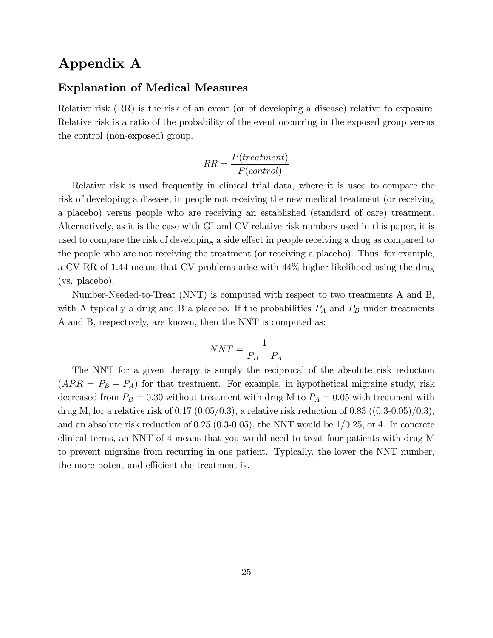## Appendix A

#### Explanation of Medical Measures

Relative risk (RR) is the risk of an event (or of developing a disease) relative to exposure. Relative risk is a ratio of the probability of the event occurring in the exposed group versus the control (non-exposed) group.

$$
RR = \frac{P(treatment)}{P(control)}
$$

Relative risk is used frequently in clinical trial data, where it is used to compare the risk of developing a disease, in people not receiving the new medical treatment (or receiving a placebo) versus people who are receiving an established (standard of care) treatment. Alternatively, as it is the case with GI and CV relative risk numbers used in this paper, it is used to compare the risk of developing a side effect in people receiving a drug as compared to the people who are not receiving the treatment (or receiving a placebo). Thus, for example, a CV RR of 1.44 means that CV problems arise with 44% higher likelihood using the drug (vs. placebo).

Number-Needed-to-Treat (NNT) is computed with respect to two treatments A and B, with A typically a drug and B a placebo. If the probabilities  $P_A$  and  $P_B$  under treatments A and B, respectively, are known, then the NNT is computed as:

$$
NNT = \frac{1}{P_B - P_A}
$$

The NNT for a given therapy is simply the reciprocal of the absolute risk reduction  $(ARR = P_B - P_A)$  for that treatment. For example, in hypothetical migraine study, risk decreased from  $P_B = 0.30$  without treatment with drug M to  $P_A = 0.05$  with treatment with drug M, for a relative risk of 0.17  $(0.05/0.3)$ , a relative risk reduction of 0.83  $((0.3-0.05)/0.3)$ , and an absolute risk reduction of  $0.25$  (0.3-0.05), the NNT would be  $1/0.25$ , or 4. In concrete clinical terms, an NNT of 4 means that you would need to treat four patients with drug M to prevent migraine from recurring in one patient. Typically, the lower the NNT number, the more potent and efficient the treatment is.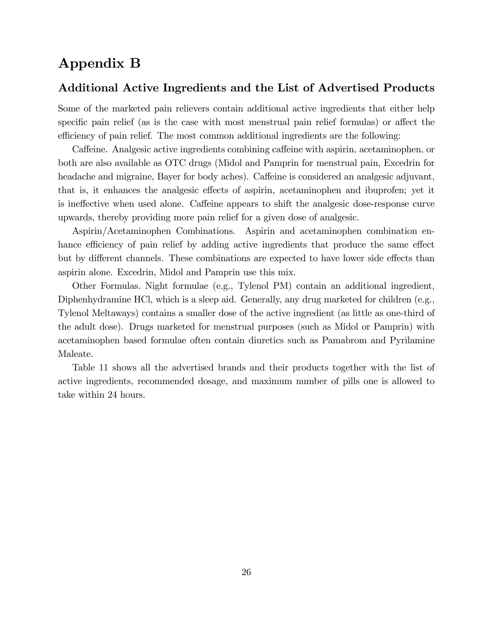## Appendix B

#### Additional Active Ingredients and the List of Advertised Products

Some of the marketed pain relievers contain additional active ingredients that either help specific pain relief (as is the case with most menstrual pain relief formulas) or affect the efficiency of pain relief. The most common additional ingredients are the following:

Caffeine. Analgesic active ingredients combining caffeine with aspirin, acetaminophen, or both are also available as OTC drugs (Midol and Pamprin for menstrual pain, Excedrin for headache and migraine, Bayer for body aches). Caffeine is considered an analgesic adjuvant, that is, it enhances the analgesic effects of aspirin, acetaminophen and ibuprofen; yet it is ineffective when used alone. Caffeine appears to shift the analgesic dose-response curve upwards, thereby providing more pain relief for a given dose of analgesic.

Aspirin/Acetaminophen Combinations. Aspirin and acetaminophen combination enhance efficiency of pain relief by adding active ingredients that produce the same effect but by different channels. These combinations are expected to have lower side effects than aspirin alone. Excedrin, Midol and Pamprin use this mix.

Other Formulas. Night formulae (e.g., Tylenol PM) contain an additional ingredient, Diphenhydramine HCl, which is a sleep aid. Generally, any drug marketed for children (e.g., Tylenol Meltaways) contains a smaller dose of the active ingredient (as little as one-third of the adult dose). Drugs marketed for menstrual purposes (such as Midol or Pamprin) with acetaminophen based formulae often contain diuretics such as Pamabrom and Pyrilamine Maleate.

Table 11 shows all the advertised brands and their products together with the list of active ingredients, recommended dosage, and maximum number of pills one is allowed to take within 24 hours.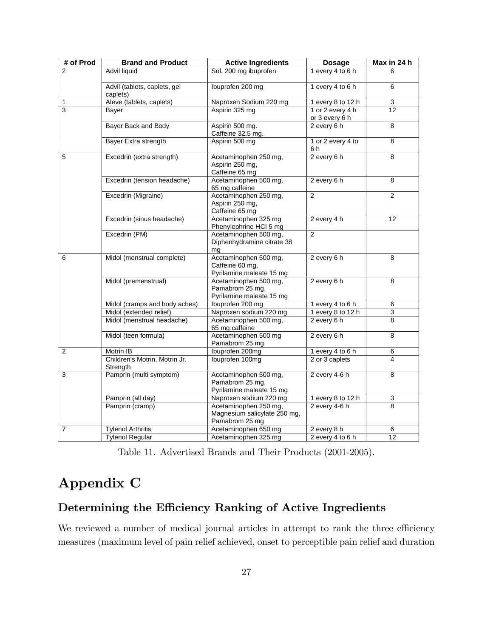| # of Prod      | <b>Brand and Product</b>                  | <b>Active Ingredients</b>                                               | <b>Dosage</b>                      | Max in 24 h     |
|----------------|-------------------------------------------|-------------------------------------------------------------------------|------------------------------------|-----------------|
| $\mathfrak{p}$ | Advil liquid                              | Sol. 200 mg ibuprofen                                                   | 1 every 4 to 6 h                   | 6               |
|                | Advil (tablets, caplets, gel<br>caplets)  | Ibuprofen 200 mg                                                        | 1 every 4 to 6 h                   | 6               |
| 1              | Aleve (tablets, caplets)                  | Naproxen Sodium 220 mg                                                  | 1 every 8 to 12 h                  | 3               |
| $\overline{3}$ | Bayer                                     | Aspirin 325 mg                                                          | 1 or 2 every 4 h<br>or 3 every 6 h | 12              |
|                | Bayer Back and Body                       | Aspirin 500 mg.<br>Caffeine 32.5 mg.                                    | 2 every 6 h                        | 8               |
|                | Bayer Extra strength                      | Aspirin 500 mg                                                          | 1 or 2 every 4 to<br>6 h           | $\overline{8}$  |
| 5              | Excedrin (extra strength)                 | Acetaminophen 250 mg,<br>Aspirin 250 mg,<br>Caffeine 65 mg              | $2$ every 6 h                      | $\overline{8}$  |
|                | Excedrin (tension headache)               | Acetaminophen 500 mg,<br>65 mg caffeine                                 | 2 every 6 h                        | 8               |
|                | Excedrin (Migraine)                       | Acetaminophen 250 mg,<br>Aspirin 250 mg,<br>Caffeine 65 mg              | 2                                  | $\overline{2}$  |
|                | Excedrin (sinus headache)                 | Acetaminophen 325 mg<br>Phenylephrine HCl 5 mg                          | 2 every 4 h                        | 12              |
|                | Excedrin (PM)                             | Acetaminophen 500 mg,<br>Diphenhydramine citrate 38<br>mq               | 2                                  |                 |
| 6              | Midol (menstrual complete)                | Acetaminophen 500 mg,<br>Caffeine 60 mg,<br>Pyrilamine maleate 15 mg    | 2 every 6 h                        | 8               |
|                | Midol (premenstrual)                      | Acetaminophen 500 mg,<br>Pamabrom 25 mg,<br>Pyrilamine maleate 15 mg    | 2 every 6 h                        | 8               |
|                | Midol (cramps and body aches)             | Ibuprofen 200 mg                                                        | 1 every 4 to 6 h                   | 6               |
|                | Midol (extended relief)                   | Naproxen sodium 220 mg                                                  | 1 every 8 to 12 h                  | 3               |
|                | Midol (menstrual headache)                | Acetaminophen 500 mg,<br>65 mg caffeine                                 | 2 every 6 h                        | 8               |
|                | Midol (teen formula)                      | Acetaminophen 500 mg<br>Pamabrom 25 mg                                  | 2 every 6 h                        | 8               |
| $\overline{2}$ | Motrin IB                                 | Ibuprofen 200mg                                                         | 1 every 4 to 6 h                   | 6               |
|                | Children's Motrin, Motrin Jr.<br>Strength | Ibuprofen 100mg                                                         | 2 or 3 caplets                     | 4               |
| 3              | Pamprin (multi symptom)                   | Acetaminophen 500 mg,<br>Pamabrom 25 mg,<br>Pyrilamine maleate 15 mg    | 2 every $4-6$ h                    | 8               |
|                | Pamprin (all day)                         | Naproxen sodium 220 mg                                                  | 1 every 8 to 12 h                  | $\mathsf 3$     |
|                | Pamprin (cramp)                           | Acetaminophen 250 mg,<br>Magnesium salicylate 250 mg,<br>Pamabrom 25 mg | 2 every $4-6h$                     | 8               |
| 7              | <b>Tylenol Arthritis</b>                  | Acetaminophen 650 mg                                                    | 2 every 8 h                        | 6               |
|                | <b>Tylenol Regular</b>                    | Acetaminophen 325 mg                                                    | 2 every 4 to 6 h                   | $\overline{12}$ |

Table 11. Advertised Brands and Their Products (2001-2005).

# Appendix C

### Determining the Efficiency Ranking of Active Ingredients

We reviewed a number of medical journal articles in attempt to rank the three efficiency measures (maximum level of pain relief achieved, onset to perceptible pain relief and duration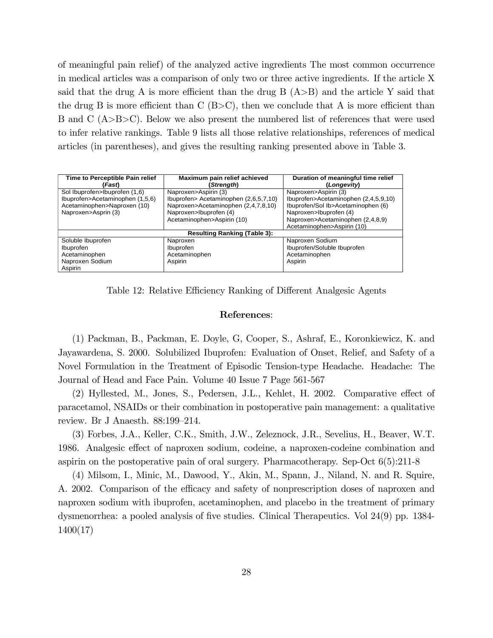of meaningful pain relief) of the analyzed active ingredients The most common occurrence in medical articles was a comparison of only two or three active ingredients. If the article X said that the drug A is more efficient than the drug B  $(A>B)$  and the article Y said that the drug B is more efficient than C  $(B>C)$ , then we conclude that A is more efficient than B and C (A>B>C). Below we also present the numbered list of references that were used to infer relative rankings. Table 9 lists all those relative relationships, references of medical articles (in parentheses), and gives the resulting ranking presented above in Table 3.

| Time to Perceptible Pain relief | Maximum pain relief achieved          | Duration of meaningful time relief   |
|---------------------------------|---------------------------------------|--------------------------------------|
| (Fast)                          | (Strength)                            | (Longevity)                          |
|                                 |                                       |                                      |
| Sol Ibuprofen>Ibuprofen (1,6)   | Naproxen>Aspirin (3)                  | Naproxen>Aspirin (3)                 |
| Ibuprofen>Acetaminophen (1,5,6) | Ibuprofen> Acetaminophen (2,6,5,7,10) | Ibuprofen>Acetaminophen (2,4,5,9,10) |
| Acetaminophen>Naproxen (10)     | Naproxen>Acetaminophen (2,4,7,8,10)   | Ibuprofen/Sol Ib>Acetaminophen (6)   |
| Naproxen>Asprin (3)             | Naproxen>Ibuprofen (4)                | Naproxen>Ibuprofen (4)               |
|                                 | Acetaminophen>Aspirin (10)            | Naproxen>Acetaminophen (2,4,8,9)     |
|                                 |                                       | Acetaminophen>Aspirin (10)           |
|                                 | <b>Resulting Ranking (Table 3):</b>   |                                      |
| Soluble Ibuprofen               | Naproxen                              | Naproxen Sodium                      |
| Ibuprofen                       | Ibuprofen                             | Ibuprofen/Soluble Ibuprofen          |
| Acetaminophen                   | Acetaminophen                         | Acetaminophen                        |
| Naproxen Sodium                 | Aspirin                               | Aspirin                              |
| Aspirin                         |                                       |                                      |

Table 12: Relative Efficiency Ranking of Different Analgesic Agents

#### References:

(1) Packman, B., Packman, E. Doyle, G, Cooper, S., Ashraf, E., Koronkiewicz, K. and Jayawardena, S. 2000. Solubilized Ibuprofen: Evaluation of Onset, Relief, and Safety of a Novel Formulation in the Treatment of Episodic Tension-type Headache. Headache: The Journal of Head and Face Pain. Volume 40 Issue 7 Page 561-567

(2) Hyllested, M., Jones, S., Pedersen, J.L., Kehlet, H. 2002. Comparative effect of paracetamol, NSAIDs or their combination in postoperative pain management: a qualitative review. Br J Anaesth. 88:199-214.

(3) Forbes, J.A., Keller, C.K., Smith, J.W., Zeleznock, J.R., Sevelius, H., Beaver, W.T. 1986. Analgesic effect of naproxen sodium, codeine, a naproxen-codeine combination and aspirin on the postoperative pain of oral surgery. Pharmacotherapy. Sep-Oct 6(5):211-8

(4) Milsom, I., Minic, M., Dawood, Y., Akin, M., Spann, J., Niland, N. and R. Squire, A. 2002. Comparison of the efficacy and safety of nonprescription doses of naproxen and naproxen sodium with ibuprofen, acetaminophen, and placebo in the treatment of primary dysmenorrhea: a pooled analysis of five studies. Clinical Therapeutics. Vol 24(9) pp. 1384-1400(17)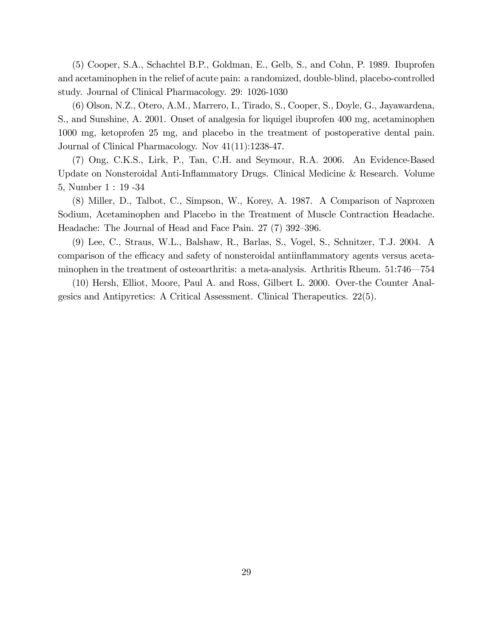(5) Cooper, S.A., Schachtel B.P., Goldman, E., Gelb, S., and Cohn, P. 1989. Ibuprofen and acetaminophen in the relief of acute pain: a randomized, double-blind, placebo-controlled study. Journal of Clinical Pharmacology. 29: 1026-1030

(6) Olson, N.Z., Otero, A.M., Marrero, I., Tirado, S., Cooper, S., Doyle, G., Jayawardena, S., and Sunshine, A. 2001. Onset of analgesia for liquigel ibuprofen 400 mg, acetaminophen 1000 mg, ketoprofen 25 mg, and placebo in the treatment of postoperative dental pain. Journal of Clinical Pharmacology. Nov 41(11):1238-47.

(7) Ong, C.K.S., Lirk, P., Tan, C.H. and Seymour, R.A. 2006. An Evidence-Based Update on Nonsteroidal Anti-Ináammatory Drugs. Clinical Medicine & Research. Volume 5, Number 1 : 19 -34

(8) Miller, D., Talbot, C., Simpson, W., Korey, A. 1987. A Comparison of Naproxen Sodium, Acetaminophen and Placebo in the Treatment of Muscle Contraction Headache. Headache: The Journal of Head and Face Pain.  $27(7)$  392–396.

(9) Lee, C., Straus, W.L., Balshaw, R., Barlas, S., Vogel, S., Schnitzer, T.J. 2004. A comparison of the efficacy and safety of nonsteroidal antiinflammatory agents versus acetaminophen in the treatment of osteoarthritis: a meta-analysis. Arthritis Rheum. 51:746–754

(10) Hersh, Elliot, Moore, Paul A. and Ross, Gilbert L. 2000. Over-the Counter Analgesics and Antipyretics: A Critical Assessment. Clinical Therapeutics. 22(5).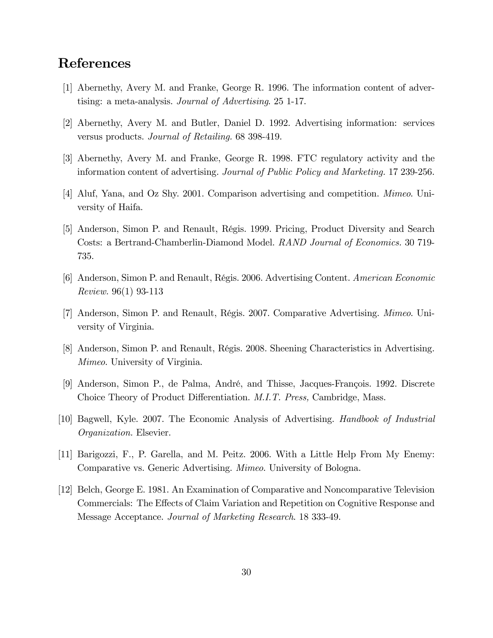# References

- [1] Abernethy, Avery M. and Franke, George R. 1996. The information content of advertising: a meta-analysis. Journal of Advertising. 25 1-17.
- [2] Abernethy, Avery M. and Butler, Daniel D. 1992. Advertising information: services versus products. Journal of Retailing. 68 398-419.
- [3] Abernethy, Avery M. and Franke, George R. 1998. FTC regulatory activity and the information content of advertising. Journal of Public Policy and Marketing. 17 239-256.
- [4] Aluf, Yana, and Oz Shy. 2001. Comparison advertising and competition. Mimeo. University of Haifa.
- [5] Anderson, Simon P. and Renault, RÈgis. 1999. Pricing, Product Diversity and Search Costs: a Bertrand-Chamberlin-Diamond Model. RAND Journal of Economics. 30 719- 735.
- [6] Anderson, Simon P. and Renault, RÈgis. 2006. Advertising Content. American Economic Review. 96(1) 93-113
- [7] Anderson, Simon P. and Renault, Régis. 2007. Comparative Advertising. *Mimeo.* University of Virginia.
- [8] Anderson, Simon P. and Renault, RÈgis. 2008. Sheening Characteristics in Advertising. Mimeo. University of Virginia.
- [9] Anderson, Simon P., de Palma, André, and Thisse, Jacques-François. 1992. Discrete Choice Theory of Product Differentiation. M.I.T. Press, Cambridge, Mass.
- [10] Bagwell, Kyle. 2007. The Economic Analysis of Advertising. Handbook of Industrial Organization. Elsevier.
- [11] Barigozzi, F., P. Garella, and M. Peitz. 2006. With a Little Help From My Enemy: Comparative vs. Generic Advertising. Mimeo. University of Bologna.
- [12] Belch, George E. 1981. An Examination of Comparative and Noncomparative Television Commercials: The Effects of Claim Variation and Repetition on Cognitive Response and Message Acceptance. Journal of Marketing Research. 18 333-49.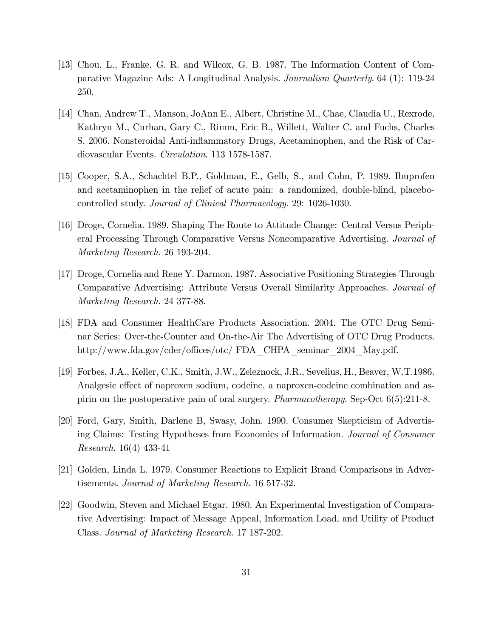- [13] Chou, L., Franke, G. R. and Wilcox, G. B. 1987. The Information Content of Comparative Magazine Ads: A Longitudinal Analysis. Journalism Quarterly. 64 (1): 119-24 250.
- [14] Chan, Andrew T., Manson, JoAnn E., Albert, Christine M., Chae, Claudia U., Rexrode, Kathryn M., Curhan, Gary C., Rimm, Eric B., Willett, Walter C. and Fuchs, Charles S. 2006. Nonsteroidal Anti-ináammatory Drugs, Acetaminophen, and the Risk of Cardiovascular Events. Circulation. 113 1578-1587.
- [15] Cooper, S.A., Schachtel B.P., Goldman, E., Gelb, S., and Cohn, P. 1989. Ibuprofen and acetaminophen in the relief of acute pain: a randomized, double-blind, placebocontrolled study. Journal of Clinical Pharmacology. 29: 1026-1030.
- [16] Droge, Cornelia. 1989. Shaping The Route to Attitude Change: Central Versus Peripheral Processing Through Comparative Versus Noncomparative Advertising. Journal of Marketing Research. 26 193-204.
- [17] Droge, Cornelia and Rene Y. Darmon. 1987. Associative Positioning Strategies Through Comparative Advertising: Attribute Versus Overall Similarity Approaches. Journal of Marketing Research. 24 377-88.
- [18] FDA and Consumer HealthCare Products Association. 2004. The OTC Drug Seminar Series: Over-the-Counter and On-the-Air The Advertising of OTC Drug Products. http://www.fda.gov/cder/offices/otc/ FDA\_CHPA\_seminar\_2004\_May.pdf.
- [19] Forbes, J.A., Keller, C.K., Smith, J.W., Zeleznock, J.R., Sevelius, H., Beaver, W.T.1986. Analgesic effect of naproxen sodium, codeine, a naproxen-codeine combination and aspirin on the postoperative pain of oral surgery. Pharmacotherapy. Sep-Oct 6(5):211-8.
- [20] Ford, Gary, Smith, Darlene B, Swasy, John. 1990. Consumer Skepticism of Advertising Claims: Testing Hypotheses from Economics of Information. Journal of Consumer Research. 16(4) 433-41
- [21] Golden, Linda L. 1979. Consumer Reactions to Explicit Brand Comparisons in Advertisements. Journal of Marketing Research. 16 517-32.
- [22] Goodwin, Steven and Michael Etgar. 1980. An Experimental Investigation of Comparative Advertising: Impact of Message Appeal, Information Load, and Utility of Product Class. Journal of Marketing Research. 17 187-202.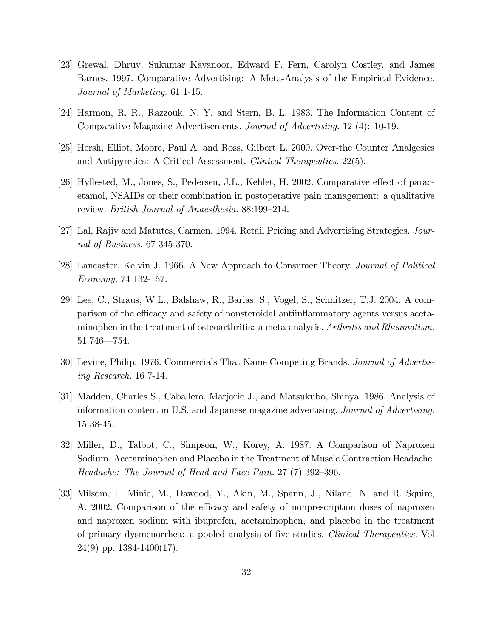- [23] Grewal, Dhruv, Sukumar Kavanoor, Edward F. Fern, Carolyn Costley, and James Barnes. 1997. Comparative Advertising: A Meta-Analysis of the Empirical Evidence. Journal of Marketing. 61 1-15.
- [24] Harmon, R. R., Razzouk, N. Y. and Stern, B. L. 1983. The Information Content of Comparative Magazine Advertisements. Journal of Advertising. 12 (4): 10-19.
- [25] Hersh, Elliot, Moore, Paul A. and Ross, Gilbert L. 2000. Over-the Counter Analgesics and Antipyretics: A Critical Assessment. Clinical Therapeutics. 22(5).
- [26] Hyllested, M., Jones, S., Pedersen, J.L., Kehlet, H. 2002. Comparative effect of paracetamol, NSAIDs or their combination in postoperative pain management: a qualitative review. *British Journal of Anaesthesia.* 88:199–214.
- [27] Lal, Rajiv and Matutes, Carmen. 1994. Retail Pricing and Advertising Strategies. Journal of Business. 67 345-370.
- [28] Lancaster, Kelvin J. 1966. A New Approach to Consumer Theory. Journal of Political Economy. 74 132-157.
- [29] Lee, C., Straus, W.L., Balshaw, R., Barlas, S., Vogel, S., Schnitzer, T.J. 2004. A comparison of the efficacy and safety of nonsteroidal antiinflammatory agents versus acetaminophen in the treatment of osteoarthritis: a meta-analysis. Arthritis and Rheumatism.  $51:746 - 754.$
- [30] Levine, Philip. 1976. Commercials That Name Competing Brands. Journal of Advertising Research. 16 7-14.
- [31] Madden, Charles S., Caballero, Marjorie J., and Matsukubo, Shinya. 1986. Analysis of information content in U.S. and Japanese magazine advertising. Journal of Advertising. 15 38-45.
- [32] Miller, D., Talbot, C., Simpson, W., Korey, A. 1987. A Comparison of Naproxen Sodium, Acetaminophen and Placebo in the Treatment of Muscle Contraction Headache. Headache: The Journal of Head and Face Pain.  $27(7)$  392–396.
- [33] Milsom, I., Minic, M., Dawood, Y., Akin, M., Spann, J., Niland, N. and R. Squire, A. 2002. Comparison of the efficacy and safety of nonprescription doses of naproxen and naproxen sodium with ibuprofen, acetaminophen, and placebo in the treatment of primary dysmenorrhea: a pooled analysis of Öve studies. Clinical Therapeutics. Vol 24(9) pp. 1384-1400(17).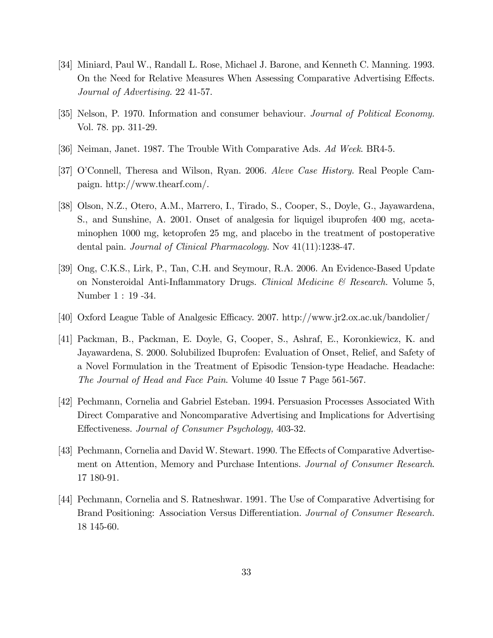- [34] Miniard, Paul W., Randall L. Rose, Michael J. Barone, and Kenneth C. Manning. 1993. On the Need for Relative Measures When Assessing Comparative Advertising Effects. Journal of Advertising. 22 41-57.
- [35] Nelson, P. 1970. Information and consumer behaviour. Journal of Political Economy. Vol. 78. pp. 311-29.
- [36] Neiman, Janet. 1987. The Trouble With Comparative Ads. Ad Week. BR4-5.
- [37] O'Connell, Theresa and Wilson, Ryan. 2006. Aleve Case History. Real People Campaign. http://www.thearf.com/.
- [38] Olson, N.Z., Otero, A.M., Marrero, I., Tirado, S., Cooper, S., Doyle, G., Jayawardena, S., and Sunshine, A. 2001. Onset of analgesia for liquigel ibuprofen 400 mg, acetaminophen 1000 mg, ketoprofen 25 mg, and placebo in the treatment of postoperative dental pain. *Journal of Clinical Pharmacology*. Nov  $41(11):1238-47$ .
- [39] Ong, C.K.S., Lirk, P., Tan, C.H. and Seymour, R.A. 2006. An Evidence-Based Update on Nonsteroidal Anti-Inflammatory Drugs. Clinical Medicine  $\mathcal{B}$  Research. Volume 5, Number 1 : 19 -34.
- [40] Oxford League Table of Analgesic Efficacy. 2007. http://www.jr2.ox.ac.uk/bandolier/
- [41] Packman, B., Packman, E. Doyle, G, Cooper, S., Ashraf, E., Koronkiewicz, K. and Jayawardena, S. 2000. Solubilized Ibuprofen: Evaluation of Onset, Relief, and Safety of a Novel Formulation in the Treatment of Episodic Tension-type Headache. Headache: The Journal of Head and Face Pain. Volume 40 Issue 7 Page 561-567.
- [42] Pechmann, Cornelia and Gabriel Esteban. 1994. Persuasion Processes Associated With Direct Comparative and Noncomparative Advertising and Implications for Advertising Effectiveness. Journal of Consumer Psychology, 403-32.
- [43] Pechmann, Cornelia and David W. Stewart. 1990. The Effects of Comparative Advertisement on Attention, Memory and Purchase Intentions. Journal of Consumer Research. 17 180-91.
- [44] Pechmann, Cornelia and S. Ratneshwar. 1991. The Use of Comparative Advertising for Brand Positioning: Association Versus Differentiation. Journal of Consumer Research. 18 145-60.